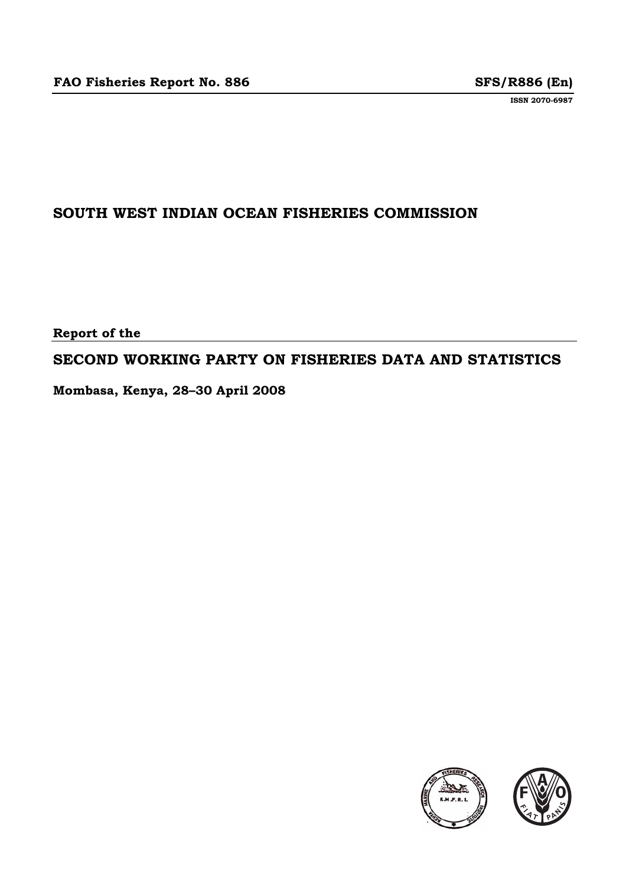**ISSN 2070-6987**

### **SOUTH WEST INDIAN OCEAN FISHERIES COMMISSION**

**Report of the** 

### **SECOND WORKING PARTY ON FISHERIES DATA AND STATISTICS**

**Mombasa, Kenya, 28–30 April 2008** 

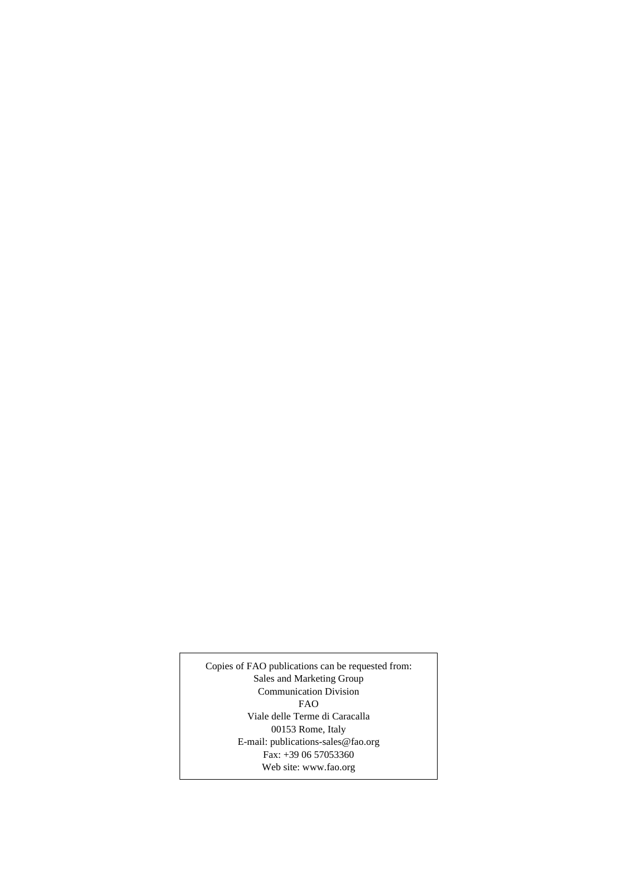Copies of FAO publications can be requested from: Sales and Marketing Group Communication Division FAO Viale delle Terme di Caracalla 00153 Rome, Italy E-mail: publications-sales@fao.org Fax: +39 06 57053360 Web site: www.fao.org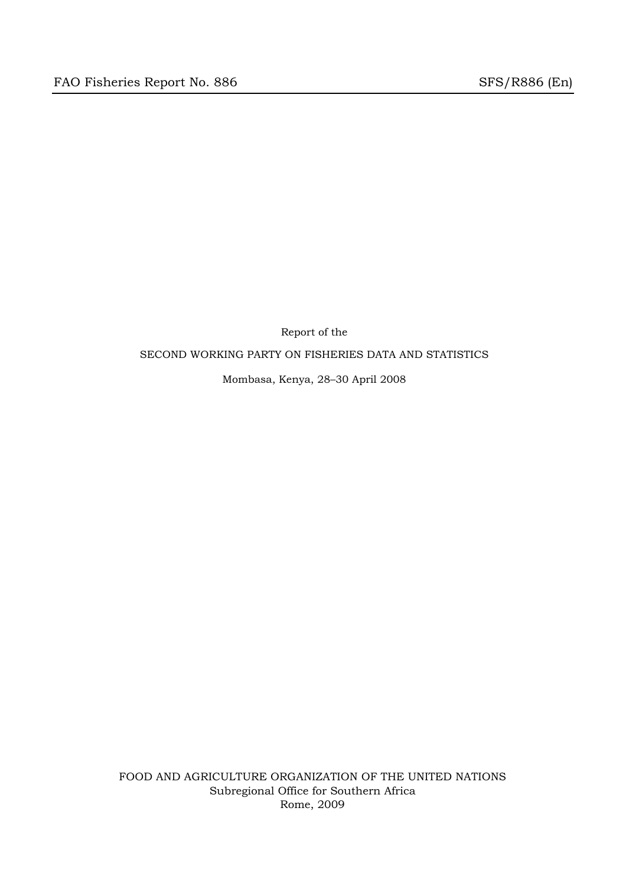Report of the SECOND WORKING PARTY ON FISHERIES DATA AND STATISTICS

Mombasa, Kenya, 28–30 April 2008

FOOD AND AGRICULTURE ORGANIZATION OF THE UNITED NATIONS Subregional Office for Southern Africa Rome, 2009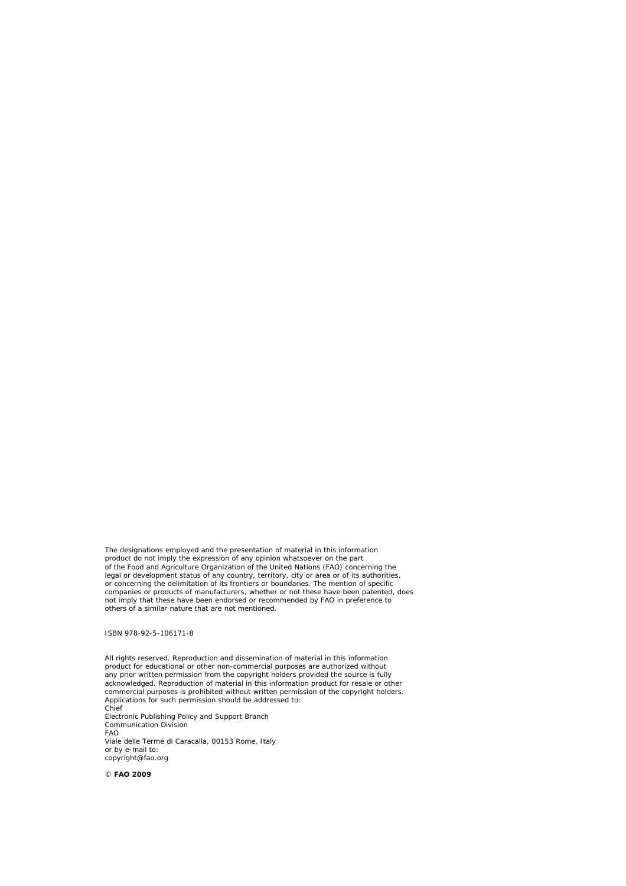The designations employed and the presentation of material in this information product do not imply the expression of any opinion whatsoever on the part of the Food and Agriculture Organization of the United Nations (FAO) concerning the legal or development status of any country, territory, city or area or of its authorities, or concerning the delimitation of its frontiers or boundaries. The mention of specific<br>companies or products of manufacturers, whether or not these have been patented, does<br>not imply that these have been endorsed or recomm others of a similar nature that are not mentioned.

ISBN 978-92-5-106171-8

All rights reserved. Reproduction and dissemination of material in this information product for educational or other non-commercial purposes are authorized without any prior written permission from the copyright holders provided the source is fully<br>acknowledged. Reproduction of material in this information product for resale or other<br>commercial purposes is prohibited without written Applications for such permission should be addressed to: Chief Electronic Publishing Policy and Support Branch Communication Division FAO Viale delle Terme di Caracalla, 00153 Rome, Italy or by e-mail to: copyright@fao.org

© **FAO 2009**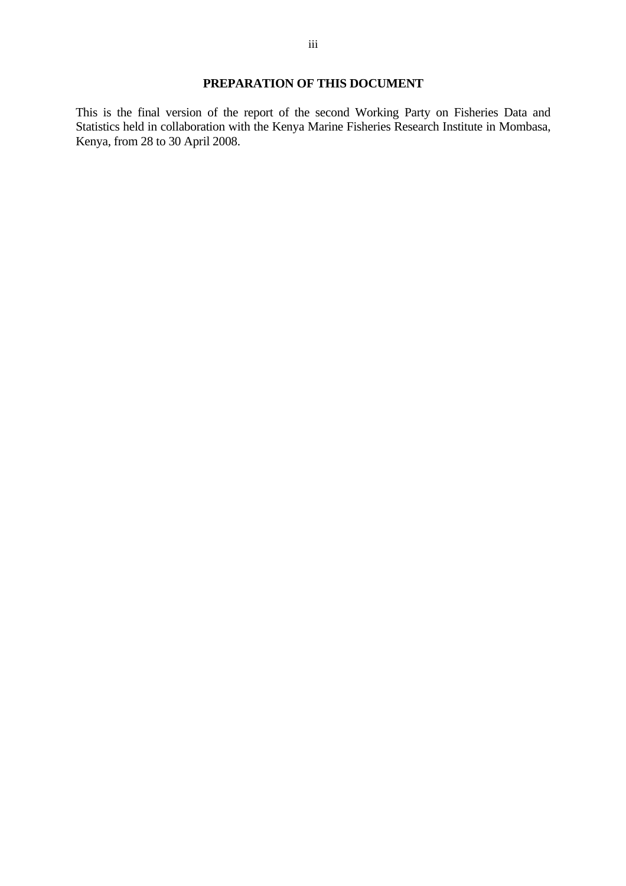### **PREPARATION OF THIS DOCUMENT**

This is the final version of the report of the second Working Party on Fisheries Data and Statistics held in collaboration with the Kenya Marine Fisheries Research Institute in Mombasa, Kenya, from 28 to 30 April 2008.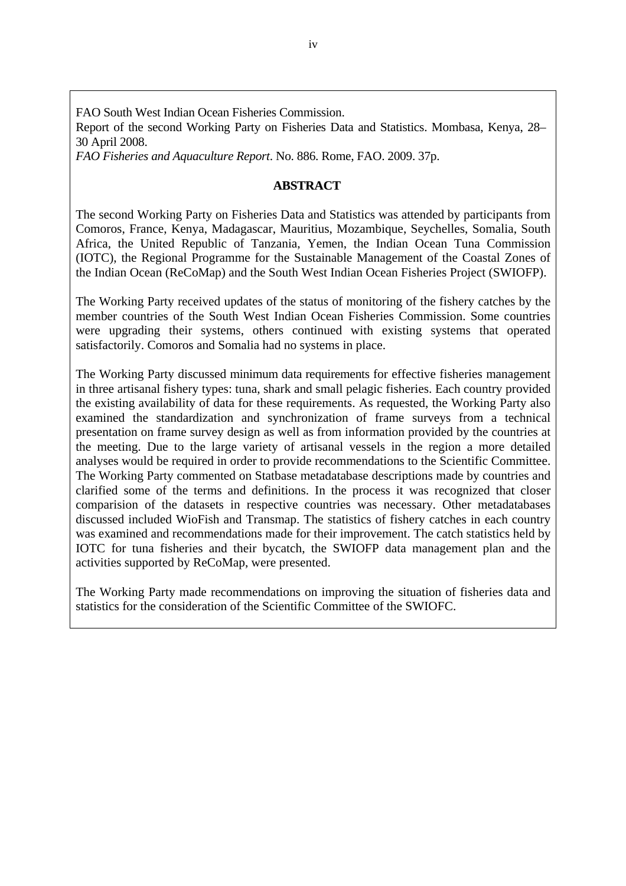FAO South West Indian Ocean Fisheries Commission.

Report of the second Working Party on Fisheries Data and Statistics. Mombasa, Kenya, 28– 30 April 2008.

*FAO Fisheries and Aquaculture Report*. No. 886. Rome, FAO. 2009. 37p.

### **ABSTRACT**

The second Working Party on Fisheries Data and Statistics was attended by participants from Comoros, France, Kenya, Madagascar, Mauritius, Mozambique, Seychelles, Somalia, South Africa, the United Republic of Tanzania, Yemen, the Indian Ocean Tuna Commission (IOTC), the Regional Programme for the Sustainable Management of the Coastal Zones of the Indian Ocean (ReCoMap) and the South West Indian Ocean Fisheries Project (SWIOFP).

The Working Party received updates of the status of monitoring of the fishery catches by the member countries of the South West Indian Ocean Fisheries Commission. Some countries were upgrading their systems, others continued with existing systems that operated satisfactorily. Comoros and Somalia had no systems in place.

The Working Party discussed minimum data requirements for effective fisheries management in three artisanal fishery types: tuna, shark and small pelagic fisheries. Each country provided the existing availability of data for these requirements. As requested, the Working Party also examined the standardization and synchronization of frame surveys from a technical presentation on frame survey design as well as from information provided by the countries at the meeting. Due to the large variety of artisanal vessels in the region a more detailed analyses would be required in order to provide recommendations to the Scientific Committee. The Working Party commented on Statbase metadatabase descriptions made by countries and clarified some of the terms and definitions. In the process it was recognized that closer comparision of the datasets in respective countries was necessary. Other metadatabases discussed included WioFish and Transmap. The statistics of fishery catches in each country was examined and recommendations made for their improvement. The catch statistics held by IOTC for tuna fisheries and their bycatch, the SWIOFP data management plan and the activities supported by ReCoMap, were presented.

The Working Party made recommendations on improving the situation of fisheries data and statistics for the consideration of the Scientific Committee of the SWIOFC.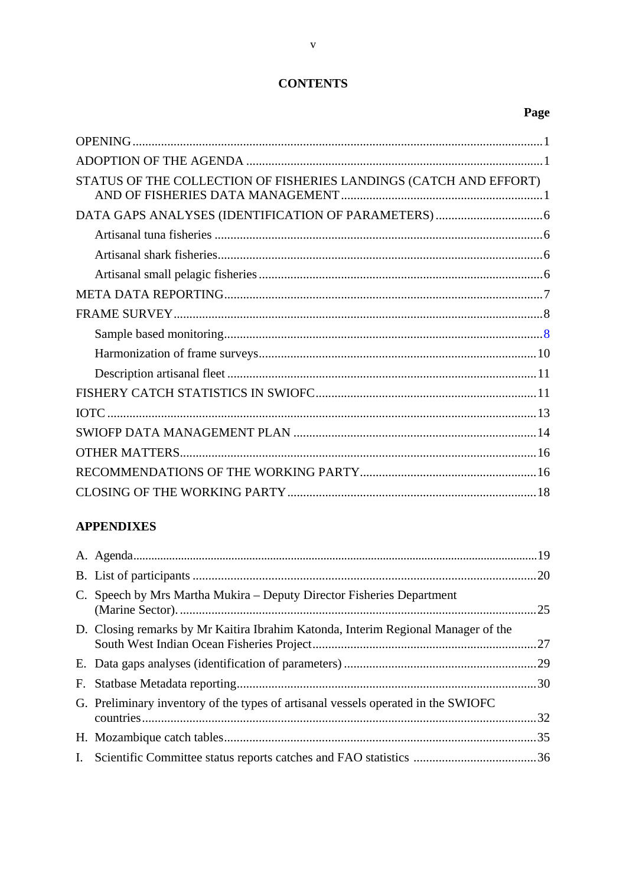### **CONTENTS**

|--|

| STATUS OF THE COLLECTION OF FISHERIES LANDINGS (CATCH AND EFFORT) |  |
|-------------------------------------------------------------------|--|
|                                                                   |  |
|                                                                   |  |
|                                                                   |  |
|                                                                   |  |
|                                                                   |  |
|                                                                   |  |
|                                                                   |  |
|                                                                   |  |
|                                                                   |  |
|                                                                   |  |
|                                                                   |  |
|                                                                   |  |
|                                                                   |  |
|                                                                   |  |
|                                                                   |  |
|                                                                   |  |

### **APPENDIXES**

| C. Speech by Mrs Martha Mukira – Deputy Director Fisheries Department             |  |
|-----------------------------------------------------------------------------------|--|
| D. Closing remarks by Mr Kaitira Ibrahim Katonda, Interim Regional Manager of the |  |
|                                                                                   |  |
|                                                                                   |  |
| G. Preliminary inventory of the types of artisanal vessels operated in the SWIOFC |  |
|                                                                                   |  |
|                                                                                   |  |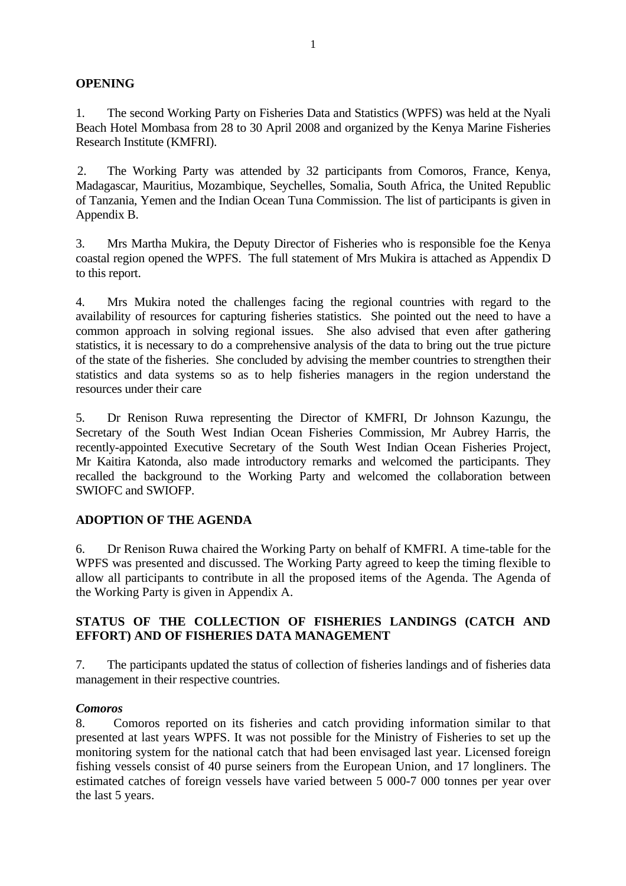### **OPENING**

1. The second Working Party on Fisheries Data and Statistics (WPFS) was held at the Nyali Beach Hotel Mombasa from 28 to 30 April 2008 and organized by the Kenya Marine Fisheries Research Institute (KMFRI).

2. The Working Party was attended by 32 participants from Comoros, France, Kenya, Madagascar, Mauritius, Mozambique, Seychelles, Somalia, South Africa, the United Republic of Tanzania, Yemen and the Indian Ocean Tuna Commission. The list of participants is given in Appendix B.

3. Mrs Martha Mukira, the Deputy Director of Fisheries who is responsible foe the Kenya coastal region opened the WPFS. The full statement of Mrs Mukira is attached as Appendix D to this report.

4. Mrs Mukira noted the challenges facing the regional countries with regard to the availability of resources for capturing fisheries statistics. She pointed out the need to have a common approach in solving regional issues. She also advised that even after gathering statistics, it is necessary to do a comprehensive analysis of the data to bring out the true picture of the state of the fisheries. She concluded by advising the member countries to strengthen their statistics and data systems so as to help fisheries managers in the region understand the resources under their care

5. Dr Renison Ruwa representing the Director of KMFRI, Dr Johnson Kazungu, the Secretary of the South West Indian Ocean Fisheries Commission, Mr Aubrey Harris, the recently-appointed Executive Secretary of the South West Indian Ocean Fisheries Project, Mr Kaitira Katonda, also made introductory remarks and welcomed the participants. They recalled the background to the Working Party and welcomed the collaboration between SWIOFC and SWIOFP.

### **ADOPTION OF THE AGENDA**

6. Dr Renison Ruwa chaired the Working Party on behalf of KMFRI. A time-table for the WPFS was presented and discussed. The Working Party agreed to keep the timing flexible to allow all participants to contribute in all the proposed items of the Agenda. The Agenda of the Working Party is given in Appendix A.

### **STATUS OF THE COLLECTION OF FISHERIES LANDINGS (CATCH AND EFFORT) AND OF FISHERIES DATA MANAGEMENT**

7. The participants updated the status of collection of fisheries landings and of fisheries data management in their respective countries.

### *Comoros*

8. Comoros reported on its fisheries and catch providing information similar to that presented at last years WPFS. It was not possible for the Ministry of Fisheries to set up the monitoring system for the national catch that had been envisaged last year. Licensed foreign fishing vessels consist of 40 purse seiners from the European Union, and 17 longliners. The estimated catches of foreign vessels have varied between 5 000-7 000 tonnes per year over the last 5 years.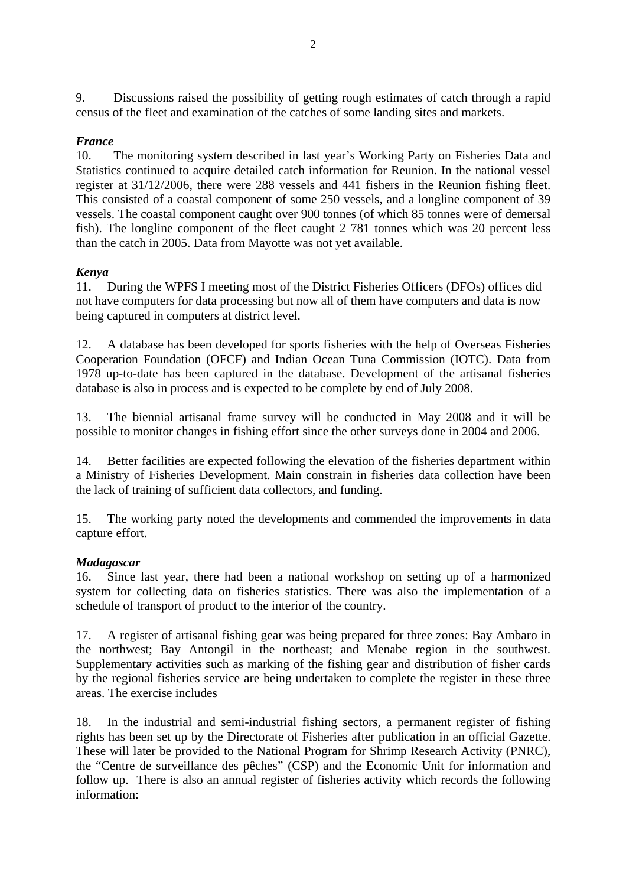9. Discussions raised the possibility of getting rough estimates of catch through a rapid census of the fleet and examination of the catches of some landing sites and markets.

### *France*

10. The monitoring system described in last year's Working Party on Fisheries Data and Statistics continued to acquire detailed catch information for Reunion. In the national vessel register at 31/12/2006, there were 288 vessels and 441 fishers in the Reunion fishing fleet. This consisted of a coastal component of some 250 vessels, and a longline component of 39 vessels. The coastal component caught over 900 tonnes (of which 85 tonnes were of demersal fish). The longline component of the fleet caught 2 781 tonnes which was 20 percent less than the catch in 2005. Data from Mayotte was not yet available.

### *Kenya*

11. During the WPFS I meeting most of the District Fisheries Officers (DFOs) offices did not have computers for data processing but now all of them have computers and data is now being captured in computers at district level.

12. A database has been developed for sports fisheries with the help of Overseas Fisheries Cooperation Foundation (OFCF) and Indian Ocean Tuna Commission (IOTC). Data from 1978 up-to-date has been captured in the database. Development of the artisanal fisheries database is also in process and is expected to be complete by end of July 2008.

13. The biennial artisanal frame survey will be conducted in May 2008 and it will be possible to monitor changes in fishing effort since the other surveys done in 2004 and 2006.

14. Better facilities are expected following the elevation of the fisheries department within a Ministry of Fisheries Development. Main constrain in fisheries data collection have been the lack of training of sufficient data collectors, and funding.

15. The working party noted the developments and commended the improvements in data capture effort.

### *Madagascar*

16. Since last year, there had been a national workshop on setting up of a harmonized system for collecting data on fisheries statistics. There was also the implementation of a schedule of transport of product to the interior of the country.

17. A register of artisanal fishing gear was being prepared for three zones: Bay Ambaro in the northwest; Bay Antongil in the northeast; and Menabe region in the southwest. Supplementary activities such as marking of the fishing gear and distribution of fisher cards by the regional fisheries service are being undertaken to complete the register in these three areas. The exercise includes

18. In the industrial and semi-industrial fishing sectors, a permanent register of fishing rights has been set up by the Directorate of Fisheries after publication in an official Gazette. These will later be provided to the National Program for Shrimp Research Activity (PNRC), the "Centre de surveillance des pêches" (CSP) and the Economic Unit for information and follow up. There is also an annual register of fisheries activity which records the following information: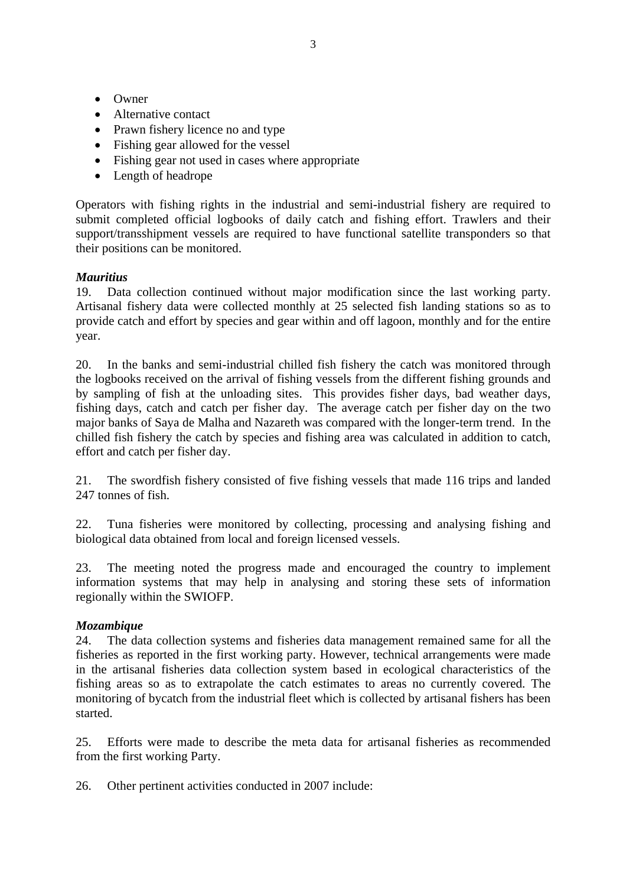- Owner
- Alternative contact
- Prawn fishery licence no and type
- Fishing gear allowed for the vessel
- Fishing gear not used in cases where appropriate
- Length of headrope

Operators with fishing rights in the industrial and semi-industrial fishery are required to submit completed official logbooks of daily catch and fishing effort. Trawlers and their support/transshipment vessels are required to have functional satellite transponders so that their positions can be monitored.

### *Mauritius*

19. Data collection continued without major modification since the last working party. Artisanal fishery data were collected monthly at 25 selected fish landing stations so as to provide catch and effort by species and gear within and off lagoon, monthly and for the entire year.

20. In the banks and semi-industrial chilled fish fishery the catch was monitored through the logbooks received on the arrival of fishing vessels from the different fishing grounds and by sampling of fish at the unloading sites. This provides fisher days, bad weather days, fishing days, catch and catch per fisher day. The average catch per fisher day on the two major banks of Saya de Malha and Nazareth was compared with the longer-term trend. In the chilled fish fishery the catch by species and fishing area was calculated in addition to catch, effort and catch per fisher day.

21. The swordfish fishery consisted of five fishing vessels that made 116 trips and landed 247 tonnes of fish.

22. Tuna fisheries were monitored by collecting, processing and analysing fishing and biological data obtained from local and foreign licensed vessels.

23. The meeting noted the progress made and encouraged the country to implement information systems that may help in analysing and storing these sets of information regionally within the SWIOFP.

### *Mozambique*

24. The data collection systems and fisheries data management remained same for all the fisheries as reported in the first working party. However, technical arrangements were made in the artisanal fisheries data collection system based in ecological characteristics of the fishing areas so as to extrapolate the catch estimates to areas no currently covered. The monitoring of bycatch from the industrial fleet which is collected by artisanal fishers has been started.

25. Efforts were made to describe the meta data for artisanal fisheries as recommended from the first working Party.

26. Other pertinent activities conducted in 2007 include: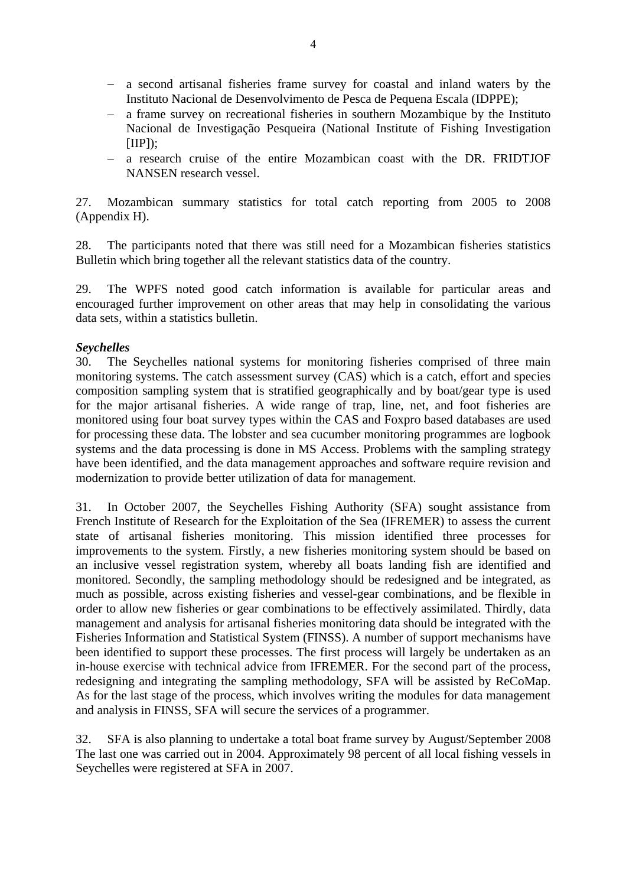- − a second artisanal fisheries frame survey for coastal and inland waters by the Instituto Nacional de Desenvolvimento de Pesca de Pequena Escala (IDPPE);
- − a frame survey on recreational fisheries in southern Mozambique by the Instituto Nacional de Investigação Pesqueira (National Institute of Fishing Investigation  $[IIP]$ ;
- − a research cruise of the entire Mozambican coast with the DR. FRIDTJOF NANSEN research vessel.

27. Mozambican summary statistics for total catch reporting from 2005 to 2008 (Appendix H).

28. The participants noted that there was still need for a Mozambican fisheries statistics Bulletin which bring together all the relevant statistics data of the country.

29. The WPFS noted good catch information is available for particular areas and encouraged further improvement on other areas that may help in consolidating the various data sets, within a statistics bulletin.

### *Seychelles*

30. The Seychelles national systems for monitoring fisheries comprised of three main monitoring systems. The catch assessment survey (CAS) which is a catch, effort and species composition sampling system that is stratified geographically and by boat/gear type is used for the major artisanal fisheries. A wide range of trap, line, net, and foot fisheries are monitored using four boat survey types within the CAS and Foxpro based databases are used for processing these data. The lobster and sea cucumber monitoring programmes are logbook systems and the data processing is done in MS Access. Problems with the sampling strategy have been identified, and the data management approaches and software require revision and modernization to provide better utilization of data for management.

31. In October 2007, the Seychelles Fishing Authority (SFA) sought assistance from French Institute of Research for the Exploitation of the Sea (IFREMER) to assess the current state of artisanal fisheries monitoring. This mission identified three processes for improvements to the system. Firstly, a new fisheries monitoring system should be based on an inclusive vessel registration system, whereby all boats landing fish are identified and monitored. Secondly, the sampling methodology should be redesigned and be integrated, as much as possible, across existing fisheries and vessel-gear combinations, and be flexible in order to allow new fisheries or gear combinations to be effectively assimilated. Thirdly, data management and analysis for artisanal fisheries monitoring data should be integrated with the Fisheries Information and Statistical System (FINSS). A number of support mechanisms have been identified to support these processes. The first process will largely be undertaken as an in-house exercise with technical advice from IFREMER. For the second part of the process, redesigning and integrating the sampling methodology, SFA will be assisted by ReCoMap. As for the last stage of the process, which involves writing the modules for data management and analysis in FINSS, SFA will secure the services of a programmer.

32. SFA is also planning to undertake a total boat frame survey by August/September 2008 The last one was carried out in 2004. Approximately 98 percent of all local fishing vessels in Seychelles were registered at SFA in 2007.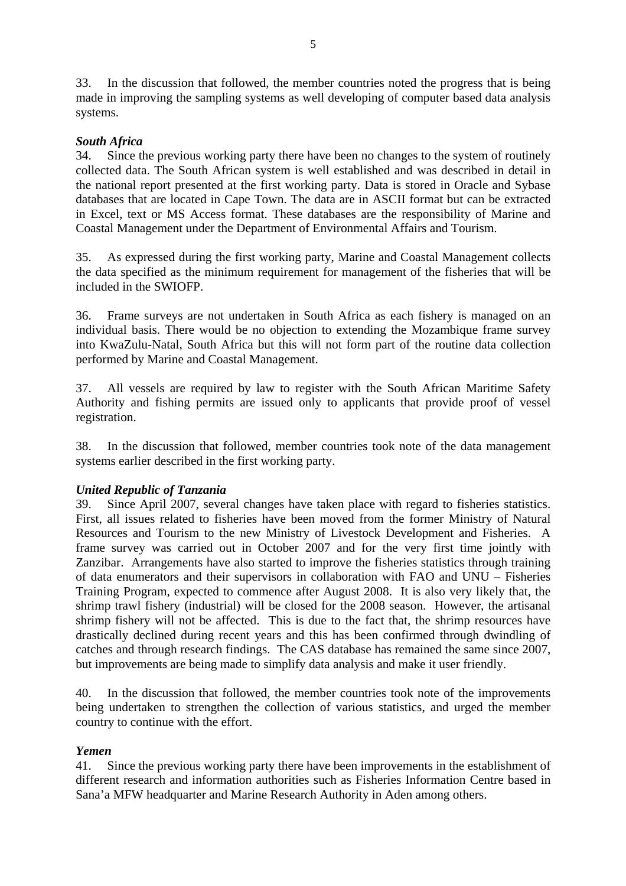33. In the discussion that followed, the member countries noted the progress that is being made in improving the sampling systems as well developing of computer based data analysis systems.

### *South Africa*

34. Since the previous working party there have been no changes to the system of routinely collected data. The South African system is well established and was described in detail in the national report presented at the first working party. Data is stored in Oracle and Sybase databases that are located in Cape Town. The data are in ASCII format but can be extracted in Excel, text or MS Access format. These databases are the responsibility of Marine and Coastal Management under the Department of Environmental Affairs and Tourism.

35. As expressed during the first working party, Marine and Coastal Management collects the data specified as the minimum requirement for management of the fisheries that will be included in the SWIOFP.

36. Frame surveys are not undertaken in South Africa as each fishery is managed on an individual basis. There would be no objection to extending the Mozambique frame survey into KwaZulu-Natal, South Africa but this will not form part of the routine data collection performed by Marine and Coastal Management.

37. All vessels are required by law to register with the South African Maritime Safety Authority and fishing permits are issued only to applicants that provide proof of vessel registration.

38. In the discussion that followed, member countries took note of the data management systems earlier described in the first working party.

### *United Republic of Tanzania*

39. Since April 2007, several changes have taken place with regard to fisheries statistics. First, all issues related to fisheries have been moved from the former Ministry of Natural Resources and Tourism to the new Ministry of Livestock Development and Fisheries. A frame survey was carried out in October 2007 and for the very first time jointly with Zanzibar. Arrangements have also started to improve the fisheries statistics through training of data enumerators and their supervisors in collaboration with FAO and UNU – Fisheries Training Program, expected to commence after August 2008. It is also very likely that, the shrimp trawl fishery (industrial) will be closed for the 2008 season. However, the artisanal shrimp fishery will not be affected. This is due to the fact that, the shrimp resources have drastically declined during recent years and this has been confirmed through dwindling of catches and through research findings. The CAS database has remained the same since 2007, but improvements are being made to simplify data analysis and make it user friendly.

40. In the discussion that followed, the member countries took note of the improvements being undertaken to strengthen the collection of various statistics, and urged the member country to continue with the effort.

### *Yemen*

41. Since the previous working party there have been improvements in the establishment of different research and information authorities such as Fisheries Information Centre based in Sana'a MFW headquarter and Marine Research Authority in Aden among others.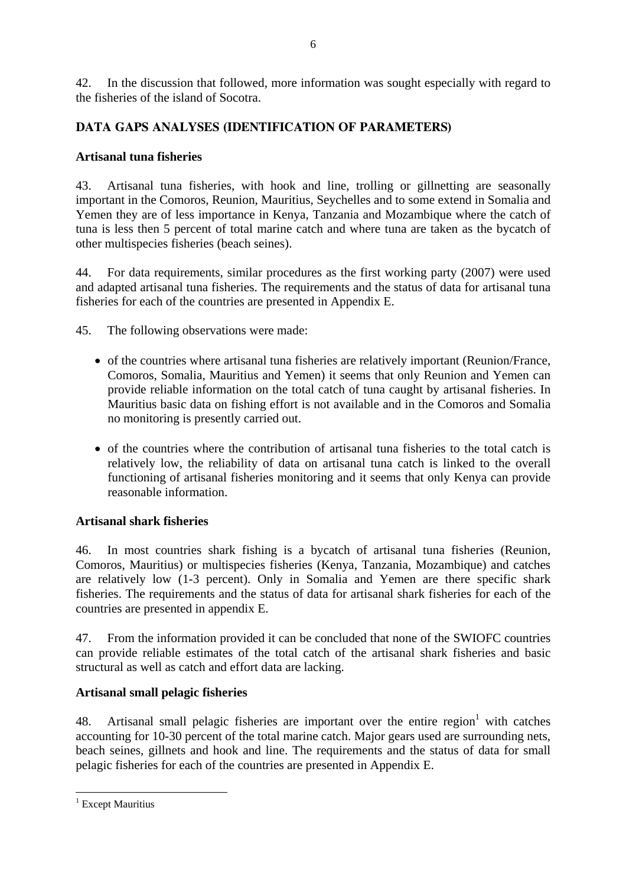42. In the discussion that followed, more information was sought especially with regard to the fisheries of the island of Socotra.

### **DATA GAPS ANALYSES (IDENTIFICATION OF PARAMETERS)**

### **Artisanal tuna fisheries**

43. Artisanal tuna fisheries, with hook and line, trolling or gillnetting are seasonally important in the Comoros, Reunion, Mauritius, Seychelles and to some extend in Somalia and Yemen they are of less importance in Kenya, Tanzania and Mozambique where the catch of tuna is less then 5 percent of total marine catch and where tuna are taken as the bycatch of other multispecies fisheries (beach seines).

44. For data requirements, similar procedures as the first working party (2007) were used and adapted artisanal tuna fisheries. The requirements and the status of data for artisanal tuna fisheries for each of the countries are presented in Appendix E.

45. The following observations were made:

- of the countries where artisanal tuna fisheries are relatively important (Reunion/France, Comoros, Somalia, Mauritius and Yemen) it seems that only Reunion and Yemen can provide reliable information on the total catch of tuna caught by artisanal fisheries. In Mauritius basic data on fishing effort is not available and in the Comoros and Somalia no monitoring is presently carried out.
- of the countries where the contribution of artisanal tuna fisheries to the total catch is relatively low, the reliability of data on artisanal tuna catch is linked to the overall functioning of artisanal fisheries monitoring and it seems that only Kenya can provide reasonable information.

### **Artisanal shark fisheries**

46. In most countries shark fishing is a bycatch of artisanal tuna fisheries (Reunion, Comoros, Mauritius) or multispecies fisheries (Kenya, Tanzania, Mozambique) and catches are relatively low (1-3 percent). Only in Somalia and Yemen are there specific shark fisheries. The requirements and the status of data for artisanal shark fisheries for each of the countries are presented in appendix E.

47. From the information provided it can be concluded that none of the SWIOFC countries can provide reliable estimates of the total catch of the artisanal shark fisheries and basic structural as well as catch and effort data are lacking.

### **Artisanal small pelagic fisheries**

48. Artisanal small pelagic fisheries are important over the entire region<sup>1</sup> with catches accounting for 10-30 percent of the total marine catch. Major gears used are surrounding nets, beach seines, gillnets and hook and line. The requirements and the status of data for small pelagic fisheries for each of the countries are presented in Appendix E.

 $\overline{a}$ <sup>1</sup> Except Mauritius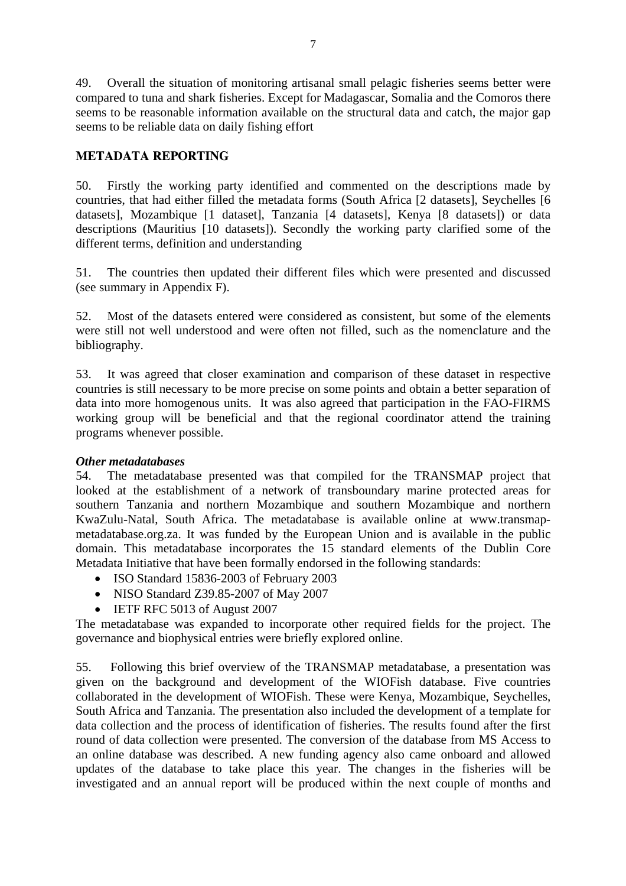49. Overall the situation of monitoring artisanal small pelagic fisheries seems better were compared to tuna and shark fisheries. Except for Madagascar, Somalia and the Comoros there seems to be reasonable information available on the structural data and catch, the major gap seems to be reliable data on daily fishing effort

### **METADATA REPORTING**

50. Firstly the working party identified and commented on the descriptions made by countries, that had either filled the metadata forms (South Africa [2 datasets], Seychelles [6 datasets], Mozambique [1 dataset], Tanzania [4 datasets], Kenya [8 datasets]) or data descriptions (Mauritius [10 datasets]). Secondly the working party clarified some of the different terms, definition and understanding

51. The countries then updated their different files which were presented and discussed (see summary in Appendix F).

52. Most of the datasets entered were considered as consistent, but some of the elements were still not well understood and were often not filled, such as the nomenclature and the bibliography.

53. It was agreed that closer examination and comparison of these dataset in respective countries is still necessary to be more precise on some points and obtain a better separation of data into more homogenous units. It was also agreed that participation in the FAO-FIRMS working group will be beneficial and that the regional coordinator attend the training programs whenever possible.

### *Other metadatabases*

54. The metadatabase presented was that compiled for the TRANSMAP project that looked at the establishment of a network of transboundary marine protected areas for southern Tanzania and northern Mozambique and southern Mozambique and northern KwaZulu-Natal, South Africa. The metadatabase is available online at www.transmapmetadatabase.org.za. It was funded by the European Union and is available in the public domain. This metadatabase incorporates the 15 standard elements of the Dublin Core Metadata Initiative that have been formally endorsed in the following standards:

- ISO Standard 15836-2003 of February 2003
- NISO Standard Z39.85-2007 of May 2007
- IETF RFC 5013 of August 2007

The metadatabase was expanded to incorporate other required fields for the project. The governance and biophysical entries were briefly explored online.

55. Following this brief overview of the TRANSMAP metadatabase, a presentation was given on the background and development of the WIOFish database. Five countries collaborated in the development of WIOFish. These were Kenya, Mozambique, Seychelles, South Africa and Tanzania. The presentation also included the development of a template for data collection and the process of identification of fisheries. The results found after the first round of data collection were presented. The conversion of the database from MS Access to an online database was described. A new funding agency also came onboard and allowed updates of the database to take place this year. The changes in the fisheries will be investigated and an annual report will be produced within the next couple of months and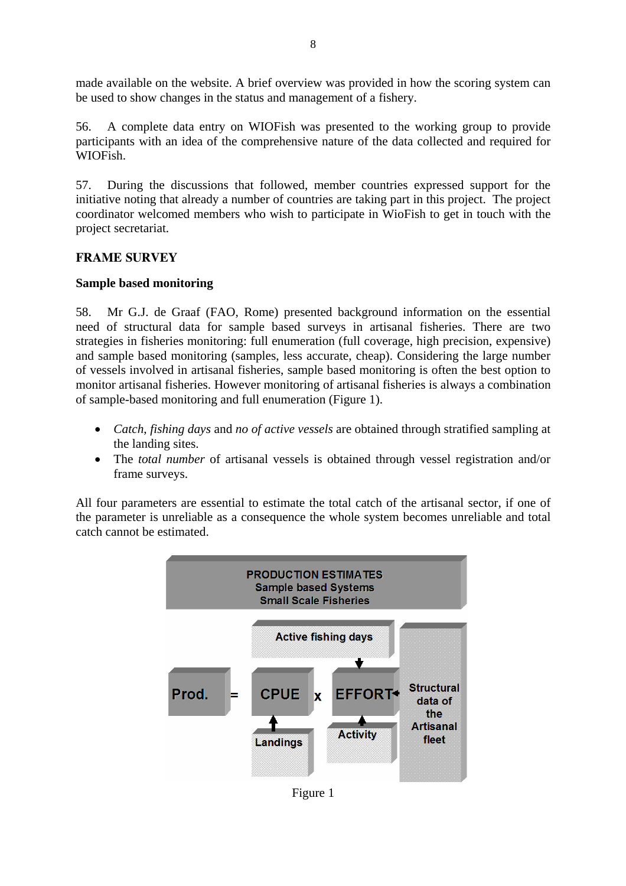made available on the website. A brief overview was provided in how the scoring system can be used to show changes in the status and management of a fishery.

56. A complete data entry on WIOFish was presented to the working group to provide participants with an idea of the comprehensive nature of the data collected and required for WIOFish.

57. During the discussions that followed, member countries expressed support for the initiative noting that already a number of countries are taking part in this project. The project coordinator welcomed members who wish to participate in WioFish to get in touch with the project secretariat.

### **FRAME SURVEY**

### **Sample based monitoring**

58. Mr G.J. de Graaf (FAO, Rome) presented background information on the essential need of structural data for sample based surveys in artisanal fisheries. There are two strategies in fisheries monitoring: full enumeration (full coverage, high precision, expensive) and sample based monitoring (samples, less accurate, cheap). Considering the large number of vessels involved in artisanal fisheries, sample based monitoring is often the best option to monitor artisanal fisheries. However monitoring of artisanal fisheries is always a combination of sample-based monitoring and full enumeration (Figure 1).

- *Catch*, *fishing days* and *no of active vessels* are obtained through stratified sampling at the landing sites.
- The *total number* of artisanal vessels is obtained through vessel registration and/or frame surveys.

All four parameters are essential to estimate the total catch of the artisanal sector, if one of the parameter is unreliable as a consequence the whole system becomes unreliable and total catch cannot be estimated.



Figure 1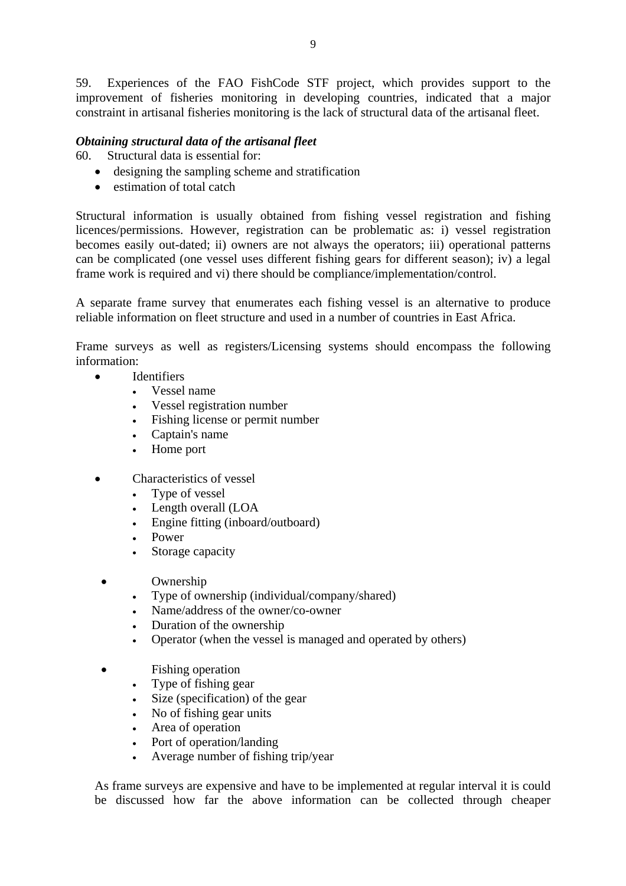59. Experiences of the FAO FishCode STF project, which provides support to the improvement of fisheries monitoring in developing countries, indicated that a major constraint in artisanal fisheries monitoring is the lack of structural data of the artisanal fleet.

### *Obtaining structural data of the artisanal fleet*

60. Structural data is essential for:

- designing the sampling scheme and stratification
- estimation of total catch

Structural information is usually obtained from fishing vessel registration and fishing licences/permissions. However, registration can be problematic as: i) vessel registration becomes easily out-dated; ii) owners are not always the operators; iii) operational patterns can be complicated (one vessel uses different fishing gears for different season); iv) a legal frame work is required and vi) there should be compliance/implementation/control.

A separate frame survey that enumerates each fishing vessel is an alternative to produce reliable information on fleet structure and used in a number of countries in East Africa.

Frame surveys as well as registers/Licensing systems should encompass the following information:

- **Identifiers** 
	- Vessel name
	- Vessel registration number
	- Fishing license or permit number
	- Captain's name
	- Home port
- Characteristics of vessel
	- Type of vessel
	- Length overall (LOA
	- Engine fitting (inboard/outboard)
	- Power
	- Storage capacity
	- Ownership
		- Type of ownership (individual/company/shared)
		- Name/address of the owner/co-owner
		- Duration of the ownership
		- Operator (when the vessel is managed and operated by others)
	- Fishing operation
		- Type of fishing gear
		- Size (specification) of the gear
		- No of fishing gear units
		- Area of operation
		- Port of operation/landing
		- Average number of fishing trip/year

As frame surveys are expensive and have to be implemented at regular interval it is could be discussed how far the above information can be collected through cheaper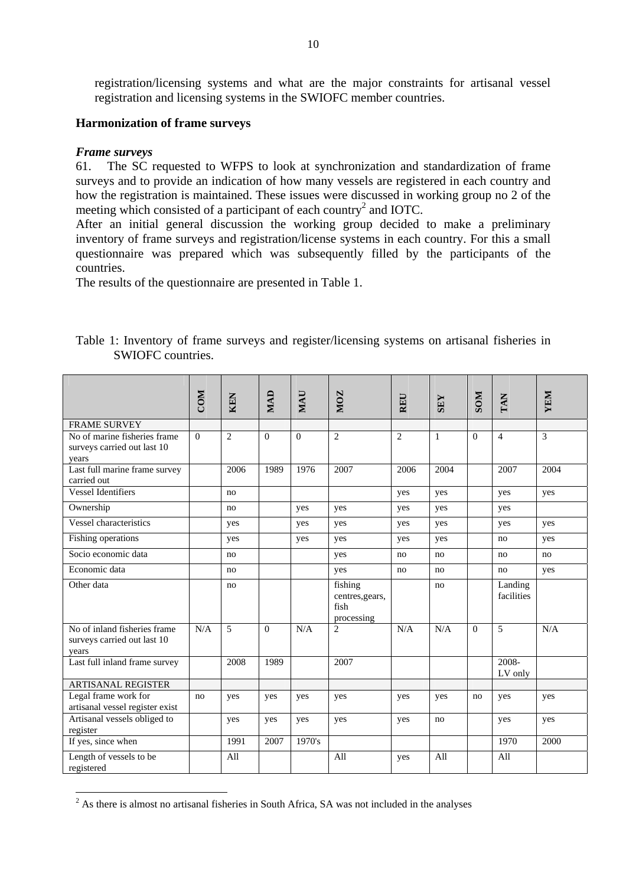registration/licensing systems and what are the major constraints for artisanal vessel registration and licensing systems in the SWIOFC member countries.

### **Harmonization of frame surveys**

### *Frame surveys*

61. The SC requested to WFPS to look at synchronization and standardization of frame surveys and to provide an indication of how many vessels are registered in each country and how the registration is maintained. These issues were discussed in working group no 2 of the meeting which consisted of a participant of each country<sup>2</sup> and IOTC.

After an initial general discussion the working group decided to make a preliminary inventory of frame surveys and registration/license systems in each country. For this a small questionnaire was prepared which was subsequently filled by the participants of the countries.

The results of the questionnaire are presented in Table 1.

|                                                                      | <b>COM</b> | <b>KEN</b>     | MAD      | MAU      | <b>NOZ</b>                                       | REU            | <b>SEY</b>   | <b>NOS</b> | TAN                   | YEM  |
|----------------------------------------------------------------------|------------|----------------|----------|----------|--------------------------------------------------|----------------|--------------|------------|-----------------------|------|
| <b>FRAME SURVEY</b>                                                  |            |                |          |          |                                                  |                |              |            |                       |      |
| No of marine fisheries frame<br>surveys carried out last 10<br>years | $\Omega$   | $\overline{2}$ | $\Omega$ | $\Omega$ | $\overline{2}$                                   | $\overline{2}$ | $\mathbf{1}$ | $\Omega$   | $\overline{4}$        | 3    |
| Last full marine frame survey<br>carried out                         |            | 2006           | 1989     | 1976     | 2007                                             | 2006           | 2004         |            | 2007                  | 2004 |
| <b>Vessel Identifiers</b>                                            |            | no             |          |          |                                                  | yes            | yes          |            | yes                   | yes  |
| Ownership                                                            |            | no             |          | yes      | yes                                              | yes            | yes          |            | yes                   |      |
| Vessel characteristics                                               |            | yes            |          | yes      | yes                                              | yes            | yes          |            | yes                   | yes  |
| Fishing operations                                                   |            | yes            |          | yes      | yes                                              | yes            | yes          |            | no                    | yes  |
| Socio economic data                                                  |            | no             |          |          | yes                                              | no             | no           |            | no                    | no   |
| Economic data                                                        |            | no             |          |          | yes                                              | no             | no           |            | no                    | yes  |
| Other data                                                           |            | no             |          |          | fishing<br>centres, gears,<br>fish<br>processing |                | no           |            | Landing<br>facilities |      |
| No of inland fisheries frame<br>surveys carried out last 10<br>years | N/A        | 5              | $\Omega$ | N/A      | 2                                                | N/A            | N/A          | $\Omega$   | 5                     | N/A  |
| Last full inland frame survey                                        |            | 2008           | 1989     |          | 2007                                             |                |              |            | 2008-<br>LV only      |      |
| <b>ARTISANAL REGISTER</b>                                            |            |                |          |          |                                                  |                |              |            |                       |      |
| Legal frame work for<br>artisanal vessel register exist              | no         | yes            | yes      | yes      | yes                                              | yes            | yes          | no         | yes                   | yes  |
| Artisanal vessels obliged to<br>register                             |            | yes            | yes      | yes      | yes                                              | yes            | no           |            | yes                   | yes  |
| If yes, since when                                                   |            | 1991           | 2007     | 1970's   |                                                  |                |              |            | 1970                  | 2000 |
| Length of vessels to be<br>registered                                |            | All            |          |          | All                                              | yes            | All          |            | All                   |      |

Table 1: Inventory of frame surveys and register/licensing systems on artisanal fisheries in SWIOFC countries.

<sup>&</sup>lt;sup>2</sup> As there is almost no artisanal fisheries in South Africa, SA was not included in the analyses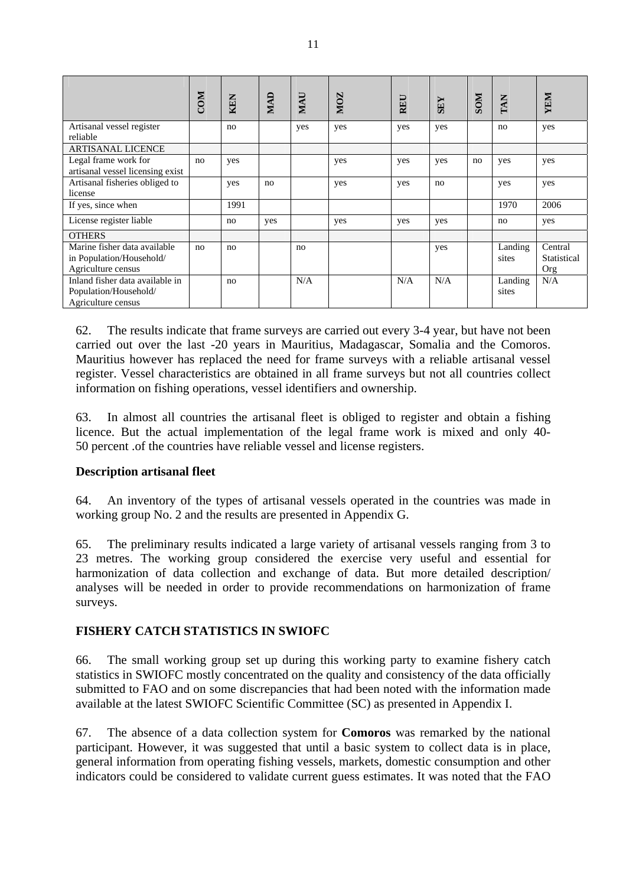|                                                                                | <b>COM</b> | KEN  | MAD | MAU | <b>NOZ</b> | <b>REU</b> | <b>SEY</b> | <b>NOS</b> | TAN              | YEM                           |
|--------------------------------------------------------------------------------|------------|------|-----|-----|------------|------------|------------|------------|------------------|-------------------------------|
| Artisanal vessel register<br>reliable                                          |            | no   |     | yes | yes        | yes        | yes        |            | no               | yes                           |
| <b>ARTISANAL LICENCE</b>                                                       |            |      |     |     |            |            |            |            |                  |                               |
| Legal frame work for<br>artisanal vessel licensing exist                       | no         | yes  |     |     | yes        | yes        | yes        | no         | yes              | yes                           |
| Artisanal fisheries obliged to<br>license                                      |            | yes  | no  |     | yes        | yes        | no         |            | yes              | yes                           |
| If yes, since when                                                             |            | 1991 |     |     |            |            |            |            | 1970             | 2006                          |
| License register liable                                                        |            | no   | yes |     | yes        | yes        | yes        |            | no               | yes                           |
| <b>OTHERS</b>                                                                  |            |      |     |     |            |            |            |            |                  |                               |
| Marine fisher data available<br>in Population/Household/<br>Agriculture census | no         | no   |     | no  |            |            | yes        |            | Landing<br>sites | Central<br>Statistical<br>Org |
| Inland fisher data available in<br>Population/Household/<br>Agriculture census |            | no   |     | N/A |            | N/A        | N/A        |            | Landing<br>sites | N/A                           |

62. The results indicate that frame surveys are carried out every 3-4 year, but have not been carried out over the last -20 years in Mauritius, Madagascar, Somalia and the Comoros. Mauritius however has replaced the need for frame surveys with a reliable artisanal vessel register. Vessel characteristics are obtained in all frame surveys but not all countries collect information on fishing operations, vessel identifiers and ownership.

63. In almost all countries the artisanal fleet is obliged to register and obtain a fishing licence. But the actual implementation of the legal frame work is mixed and only 40- 50 percent .of the countries have reliable vessel and license registers.

### **Description artisanal fleet**

64. An inventory of the types of artisanal vessels operated in the countries was made in working group No. 2 and the results are presented in Appendix G.

65. The preliminary results indicated a large variety of artisanal vessels ranging from 3 to 23 metres. The working group considered the exercise very useful and essential for harmonization of data collection and exchange of data. But more detailed description/ analyses will be needed in order to provide recommendations on harmonization of frame surveys.

### **FISHERY CATCH STATISTICS IN SWIOFC**

66. The small working group set up during this working party to examine fishery catch statistics in SWIOFC mostly concentrated on the quality and consistency of the data officially submitted to FAO and on some discrepancies that had been noted with the information made available at the latest SWIOFC Scientific Committee (SC) as presented in Appendix I.

67. The absence of a data collection system for **Comoros** was remarked by the national participant. However, it was suggested that until a basic system to collect data is in place, general information from operating fishing vessels, markets, domestic consumption and other indicators could be considered to validate current guess estimates. It was noted that the FAO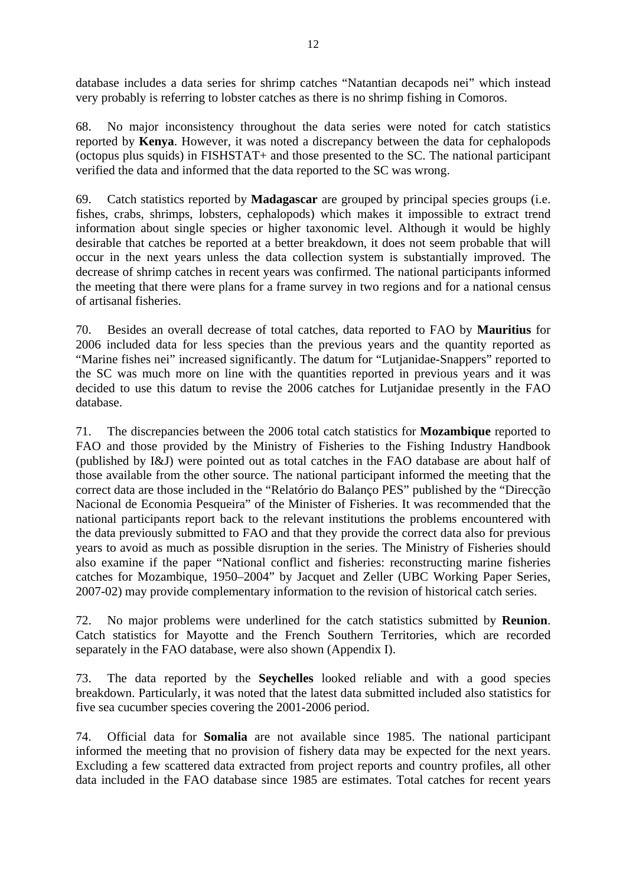database includes a data series for shrimp catches "Natantian decapods nei" which instead very probably is referring to lobster catches as there is no shrimp fishing in Comoros.

68. No major inconsistency throughout the data series were noted for catch statistics reported by **Kenya**. However, it was noted a discrepancy between the data for cephalopods (octopus plus squids) in FISHSTAT+ and those presented to the SC. The national participant verified the data and informed that the data reported to the SC was wrong.

69. Catch statistics reported by **Madagascar** are grouped by principal species groups (i.e. fishes, crabs, shrimps, lobsters, cephalopods) which makes it impossible to extract trend information about single species or higher taxonomic level. Although it would be highly desirable that catches be reported at a better breakdown, it does not seem probable that will occur in the next years unless the data collection system is substantially improved. The decrease of shrimp catches in recent years was confirmed. The national participants informed the meeting that there were plans for a frame survey in two regions and for a national census of artisanal fisheries.

70. Besides an overall decrease of total catches, data reported to FAO by **Mauritius** for 2006 included data for less species than the previous years and the quantity reported as "Marine fishes nei" increased significantly. The datum for "Lutjanidae-Snappers" reported to the SC was much more on line with the quantities reported in previous years and it was decided to use this datum to revise the 2006 catches for Lutjanidae presently in the FAO database.

71. The discrepancies between the 2006 total catch statistics for **Mozambique** reported to FAO and those provided by the Ministry of Fisheries to the Fishing Industry Handbook (published by I&J) were pointed out as total catches in the FAO database are about half of those available from the other source. The national participant informed the meeting that the correct data are those included in the "Relatório do Balanço PES" published by the "Direcção Nacional de Economia Pesqueira" of the Minister of Fisheries. It was recommended that the national participants report back to the relevant institutions the problems encountered with the data previously submitted to FAO and that they provide the correct data also for previous years to avoid as much as possible disruption in the series. The Ministry of Fisheries should also examine if the paper "National conflict and fisheries: reconstructing marine fisheries catches for Mozambique, 1950–2004" by Jacquet and Zeller (UBC Working Paper Series, 2007-02) may provide complementary information to the revision of historical catch series.

72. No major problems were underlined for the catch statistics submitted by **Reunion**. Catch statistics for Mayotte and the French Southern Territories, which are recorded separately in the FAO database, were also shown (Appendix I).

73. The data reported by the **Seychelles** looked reliable and with a good species breakdown. Particularly, it was noted that the latest data submitted included also statistics for five sea cucumber species covering the 2001-2006 period.

74. Official data for **Somalia** are not available since 1985. The national participant informed the meeting that no provision of fishery data may be expected for the next years. Excluding a few scattered data extracted from project reports and country profiles, all other data included in the FAO database since 1985 are estimates. Total catches for recent years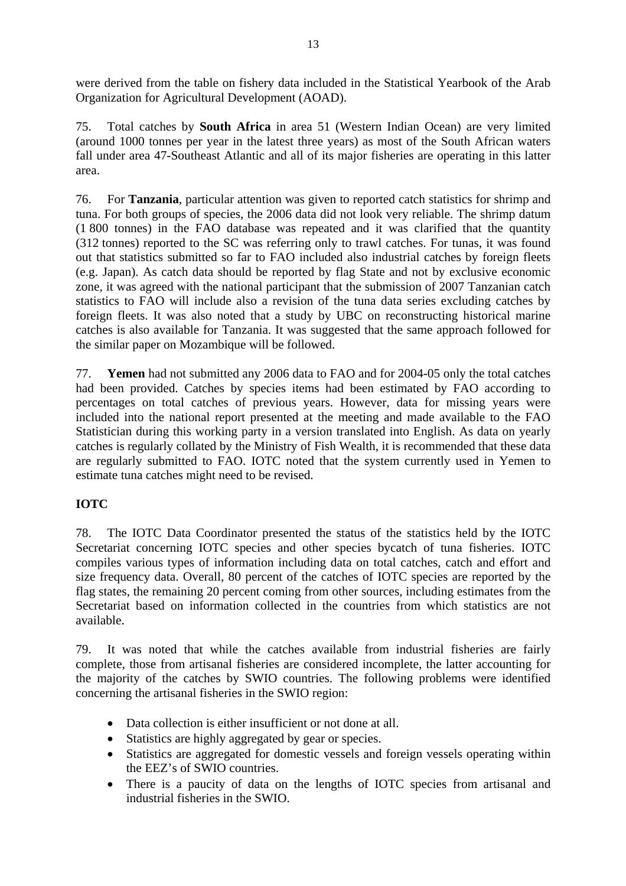were derived from the table on fishery data included in the Statistical Yearbook of the Arab Organization for Agricultural Development (AOAD).

75. Total catches by **South Africa** in area 51 (Western Indian Ocean) are very limited (around 1000 tonnes per year in the latest three years) as most of the South African waters fall under area 47-Southeast Atlantic and all of its major fisheries are operating in this latter area.

76. For **Tanzania**, particular attention was given to reported catch statistics for shrimp and tuna. For both groups of species, the 2006 data did not look very reliable. The shrimp datum (1 800 tonnes) in the FAO database was repeated and it was clarified that the quantity (312 tonnes) reported to the SC was referring only to trawl catches. For tunas, it was found out that statistics submitted so far to FAO included also industrial catches by foreign fleets (e.g. Japan). As catch data should be reported by flag State and not by exclusive economic zone, it was agreed with the national participant that the submission of 2007 Tanzanian catch statistics to FAO will include also a revision of the tuna data series excluding catches by foreign fleets. It was also noted that a study by UBC on reconstructing historical marine catches is also available for Tanzania. It was suggested that the same approach followed for the similar paper on Mozambique will be followed.

77. **Yemen** had not submitted any 2006 data to FAO and for 2004-05 only the total catches had been provided. Catches by species items had been estimated by FAO according to percentages on total catches of previous years. However, data for missing years were included into the national report presented at the meeting and made available to the FAO Statistician during this working party in a version translated into English. As data on yearly catches is regularly collated by the Ministry of Fish Wealth, it is recommended that these data are regularly submitted to FAO. IOTC noted that the system currently used in Yemen to estimate tuna catches might need to be revised.

### **IOTC**

78. The IOTC Data Coordinator presented the status of the statistics held by the IOTC Secretariat concerning IOTC species and other species bycatch of tuna fisheries. IOTC compiles various types of information including data on total catches, catch and effort and size frequency data. Overall, 80 percent of the catches of IOTC species are reported by the flag states, the remaining 20 percent coming from other sources, including estimates from the Secretariat based on information collected in the countries from which statistics are not available.

79. It was noted that while the catches available from industrial fisheries are fairly complete, those from artisanal fisheries are considered incomplete, the latter accounting for the majority of the catches by SWIO countries. The following problems were identified concerning the artisanal fisheries in the SWIO region:

- Data collection is either insufficient or not done at all.
- Statistics are highly aggregated by gear or species.
- Statistics are aggregated for domestic vessels and foreign vessels operating within the EEZ's of SWIO countries.
- There is a paucity of data on the lengths of IOTC species from artisanal and industrial fisheries in the SWIO.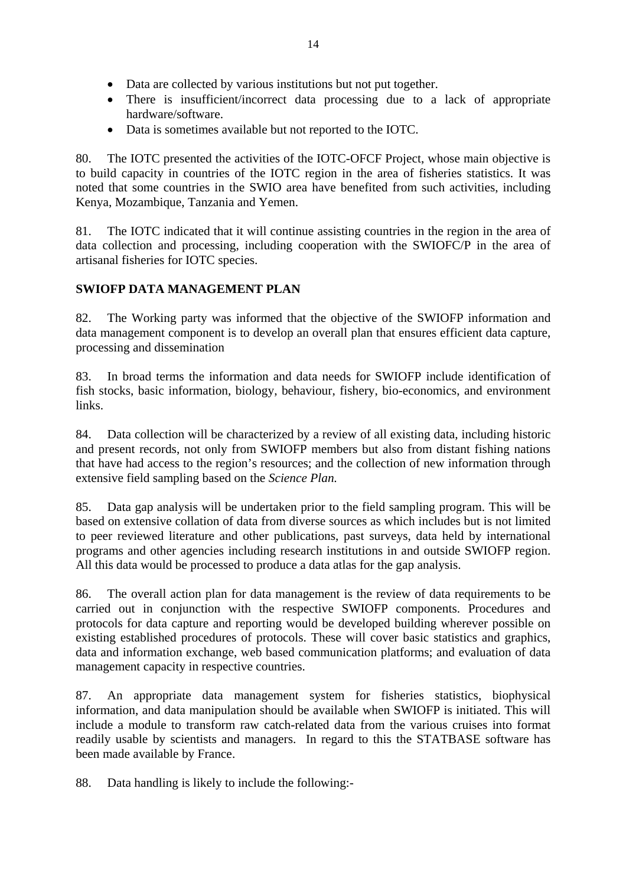- Data are collected by various institutions but not put together.
- There is insufficient/incorrect data processing due to a lack of appropriate hardware/software.
- Data is sometimes available but not reported to the IOTC.

80. The IOTC presented the activities of the IOTC-OFCF Project, whose main objective is to build capacity in countries of the IOTC region in the area of fisheries statistics. It was noted that some countries in the SWIO area have benefited from such activities, including Kenya, Mozambique, Tanzania and Yemen.

81. The IOTC indicated that it will continue assisting countries in the region in the area of data collection and processing, including cooperation with the SWIOFC/P in the area of artisanal fisheries for IOTC species.

### **SWIOFP DATA MANAGEMENT PLAN**

82. The Working party was informed that the objective of the SWIOFP information and data management component is to develop an overall plan that ensures efficient data capture, processing and dissemination

83. In broad terms the information and data needs for SWIOFP include identification of fish stocks, basic information, biology, behaviour, fishery, bio-economics, and environment links.

84. Data collection will be characterized by a review of all existing data, including historic and present records, not only from SWIOFP members but also from distant fishing nations that have had access to the region's resources; and the collection of new information through extensive field sampling based on the *Science Plan.* 

85. Data gap analysis will be undertaken prior to the field sampling program. This will be based on extensive collation of data from diverse sources as which includes but is not limited to peer reviewed literature and other publications, past surveys, data held by international programs and other agencies including research institutions in and outside SWIOFP region. All this data would be processed to produce a data atlas for the gap analysis.

86. The overall action plan for data management is the review of data requirements to be carried out in conjunction with the respective SWIOFP components. Procedures and protocols for data capture and reporting would be developed building wherever possible on existing established procedures of protocols. These will cover basic statistics and graphics, data and information exchange, web based communication platforms; and evaluation of data management capacity in respective countries.

87. An appropriate data management system for fisheries statistics, biophysical information, and data manipulation should be available when SWIOFP is initiated. This will include a module to transform raw catch-related data from the various cruises into format readily usable by scientists and managers. In regard to this the STATBASE software has been made available by France.

88. Data handling is likely to include the following:-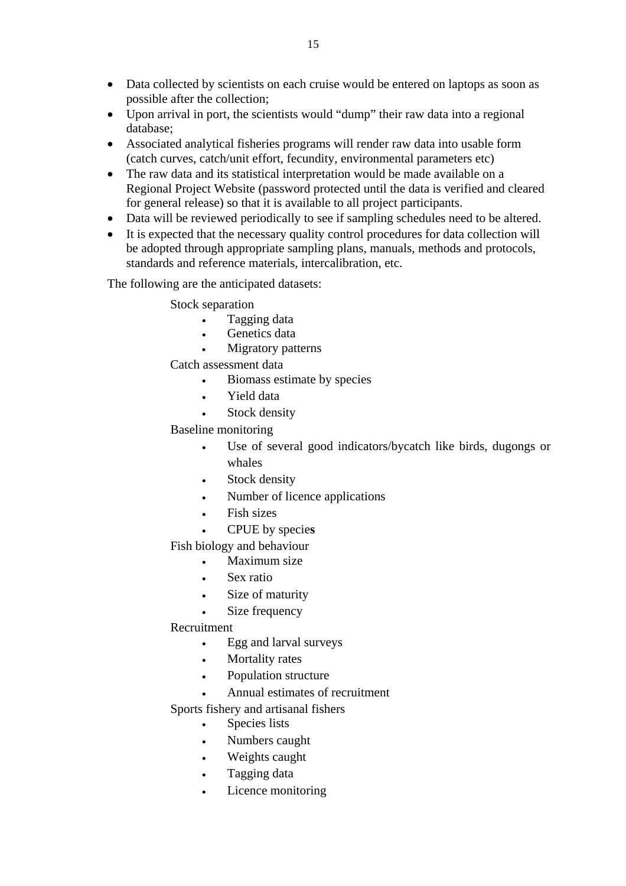- Data collected by scientists on each cruise would be entered on laptops as soon as possible after the collection;
- Upon arrival in port, the scientists would "dump" their raw data into a regional database;
- Associated analytical fisheries programs will render raw data into usable form (catch curves, catch/unit effort, fecundity, environmental parameters etc)
- The raw data and its statistical interpretation would be made available on a Regional Project Website (password protected until the data is verified and cleared for general release) so that it is available to all project participants.
- Data will be reviewed periodically to see if sampling schedules need to be altered.
- It is expected that the necessary quality control procedures for data collection will be adopted through appropriate sampling plans, manuals, methods and protocols, standards and reference materials, intercalibration, etc.

The following are the anticipated datasets:

Stock separation

- Tagging data
- Genetics data
- Migratory patterns

Catch assessment data

- Biomass estimate by species
- Yield data
- Stock density

Baseline monitoring

- Use of several good indicators/bycatch like birds, dugongs or whales
- Stock density
- Number of licence applications
- Fish sizes
- CPUE by specie**s**

Fish biology and behaviour

- Maximum size
- Sex ratio
- Size of maturity
- Size frequency

### Recruitment

- Egg and larval surveys
- Mortality rates
- Population structure
- Annual estimates of recruitment

Sports fishery and artisanal fishers

- Species lists
- Numbers caught
- Weights caught
- Tagging data
- Licence monitoring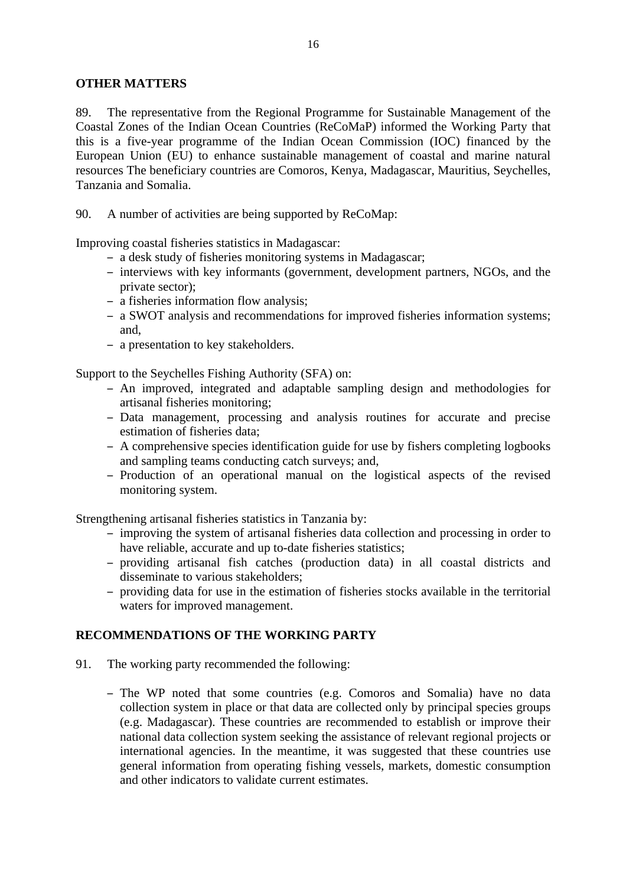### **OTHER MATTERS**

89. The representative from the Regional Programme for Sustainable Management of the Coastal Zones of the Indian Ocean Countries (ReCoMaP) informed the Working Party that this is a five-year programme of the Indian Ocean Commission (IOC) financed by the European Union (EU) to enhance sustainable management of coastal and marine natural resources The beneficiary countries are Comoros, Kenya, Madagascar, Mauritius, Seychelles, Tanzania and Somalia.

90. A number of activities are being supported by ReCoMap:

Improving coastal fisheries statistics in Madagascar:

- a desk study of fisheries monitoring systems in Madagascar;
- interviews with key informants (government, development partners, NGOs, and the private sector);
- a fisheries information flow analysis;
- a SWOT analysis and recommendations for improved fisheries information systems; and,
- a presentation to key stakeholders.

Support to the Seychelles Fishing Authority (SFA) on:

- An improved, integrated and adaptable sampling design and methodologies for artisanal fisheries monitoring;
- Data management, processing and analysis routines for accurate and precise estimation of fisheries data;
- A comprehensive species identification guide for use by fishers completing logbooks and sampling teams conducting catch surveys; and,
- Production of an operational manual on the logistical aspects of the revised monitoring system.

Strengthening artisanal fisheries statistics in Tanzania by:

- improving the system of artisanal fisheries data collection and processing in order to have reliable, accurate and up to-date fisheries statistics;
- providing artisanal fish catches (production data) in all coastal districts and disseminate to various stakeholders;
- providing data for use in the estimation of fisheries stocks available in the territorial waters for improved management.

### **RECOMMENDATIONS OF THE WORKING PARTY**

- 91. The working party recommended the following:
	- The WP noted that some countries (e.g. Comoros and Somalia) have no data collection system in place or that data are collected only by principal species groups (e.g. Madagascar). These countries are recommended to establish or improve their national data collection system seeking the assistance of relevant regional projects or international agencies. In the meantime, it was suggested that these countries use general information from operating fishing vessels, markets, domestic consumption and other indicators to validate current estimates.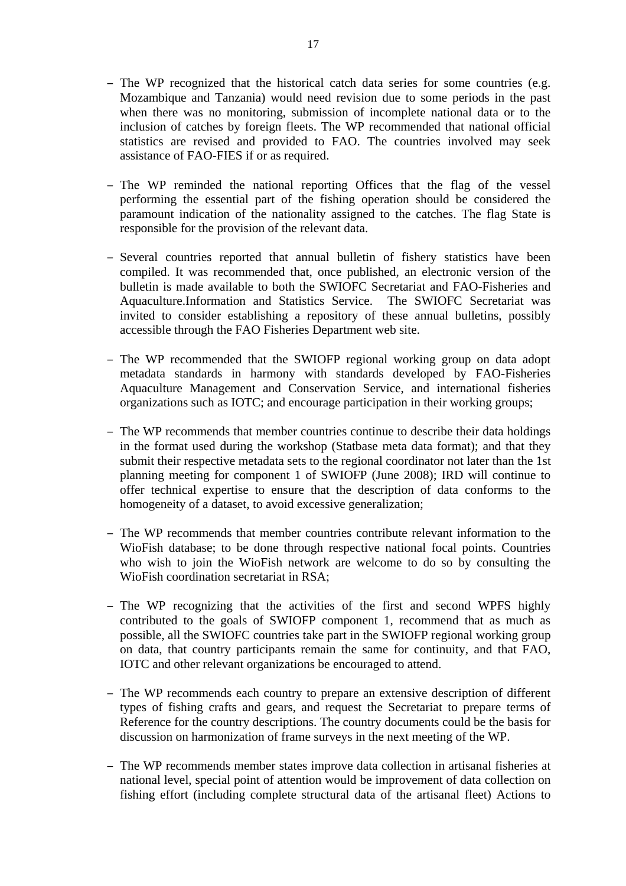- The WP recognized that the historical catch data series for some countries (e.g. Mozambique and Tanzania) would need revision due to some periods in the past when there was no monitoring, submission of incomplete national data or to the inclusion of catches by foreign fleets. The WP recommended that national official statistics are revised and provided to FAO. The countries involved may seek assistance of FAO-FIES if or as required.
- The WP reminded the national reporting Offices that the flag of the vessel performing the essential part of the fishing operation should be considered the paramount indication of the nationality assigned to the catches. The flag State is responsible for the provision of the relevant data.
- Several countries reported that annual bulletin of fishery statistics have been compiled. It was recommended that, once published, an electronic version of the bulletin is made available to both the SWIOFC Secretariat and FAO-Fisheries and Aquaculture.Information and Statistics Service. The SWIOFC Secretariat was invited to consider establishing a repository of these annual bulletins, possibly accessible through the FAO Fisheries Department web site.
- The WP recommended that the SWIOFP regional working group on data adopt metadata standards in harmony with standards developed by FAO-Fisheries Aquaculture Management and Conservation Service, and international fisheries organizations such as IOTC; and encourage participation in their working groups;
- The WP recommends that member countries continue to describe their data holdings in the format used during the workshop (Statbase meta data format); and that they submit their respective metadata sets to the regional coordinator not later than the 1st planning meeting for component 1 of SWIOFP (June 2008); IRD will continue to offer technical expertise to ensure that the description of data conforms to the homogeneity of a dataset, to avoid excessive generalization;
- The WP recommends that member countries contribute relevant information to the WioFish database; to be done through respective national focal points. Countries who wish to join the WioFish network are welcome to do so by consulting the WioFish coordination secretariat in RSA;
- The WP recognizing that the activities of the first and second WPFS highly contributed to the goals of SWIOFP component 1, recommend that as much as possible, all the SWIOFC countries take part in the SWIOFP regional working group on data, that country participants remain the same for continuity, and that FAO, IOTC and other relevant organizations be encouraged to attend.
- The WP recommends each country to prepare an extensive description of different types of fishing crafts and gears, and request the Secretariat to prepare terms of Reference for the country descriptions. The country documents could be the basis for discussion on harmonization of frame surveys in the next meeting of the WP.
- The WP recommends member states improve data collection in artisanal fisheries at national level, special point of attention would be improvement of data collection on fishing effort (including complete structural data of the artisanal fleet) Actions to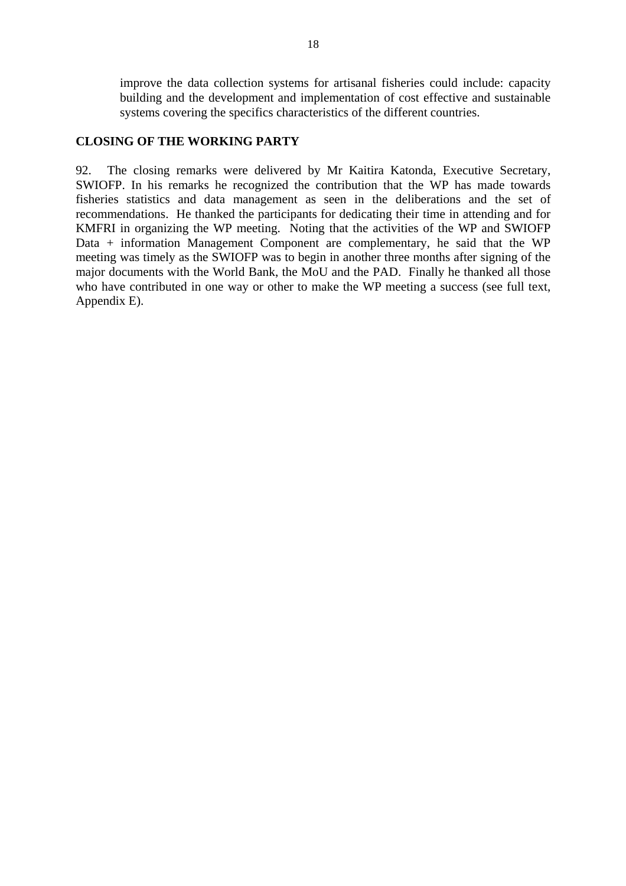improve the data collection systems for artisanal fisheries could include: capacity building and the development and implementation of cost effective and sustainable systems covering the specifics characteristics of the different countries.

### **CLOSING OF THE WORKING PARTY**

92. The closing remarks were delivered by Mr Kaitira Katonda, Executive Secretary, SWIOFP. In his remarks he recognized the contribution that the WP has made towards fisheries statistics and data management as seen in the deliberations and the set of recommendations. He thanked the participants for dedicating their time in attending and for KMFRI in organizing the WP meeting. Noting that the activities of the WP and SWIOFP Data + information Management Component are complementary, he said that the WP meeting was timely as the SWIOFP was to begin in another three months after signing of the major documents with the World Bank, the MoU and the PAD. Finally he thanked all those who have contributed in one way or other to make the WP meeting a success (see full text, Appendix E).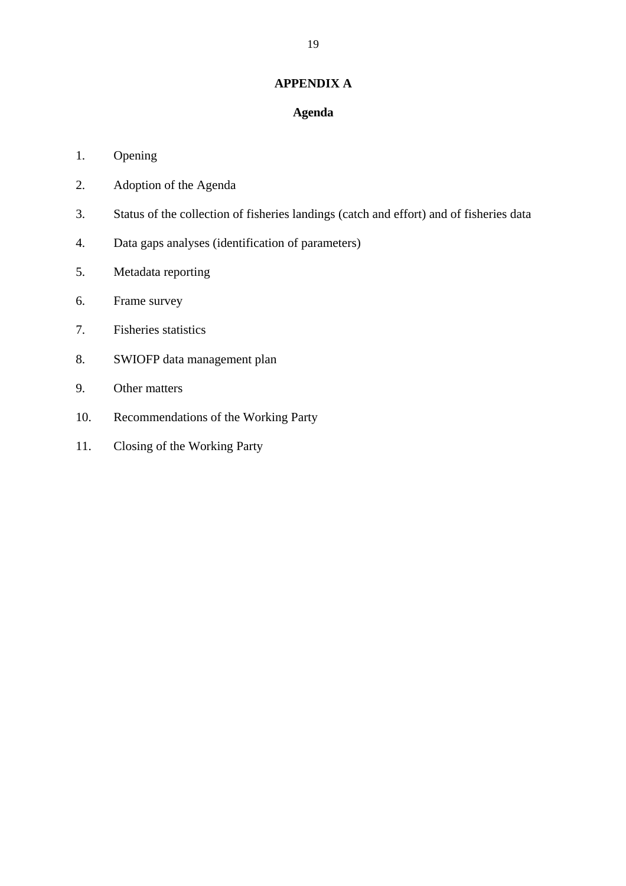### **APPENDIX A**

### **Agenda**

### 1. Opening

- 2. Adoption of the Agenda
- 3. Status of the collection of fisheries landings (catch and effort) and of fisheries data
- 4. Data gaps analyses (identification of parameters)
- 5. Metadata reporting
- 6. Frame survey
- 7. Fisheries statistics
- 8. SWIOFP data management plan
- 9. Other matters
- 10. Recommendations of the Working Party
- 11. Closing of the Working Party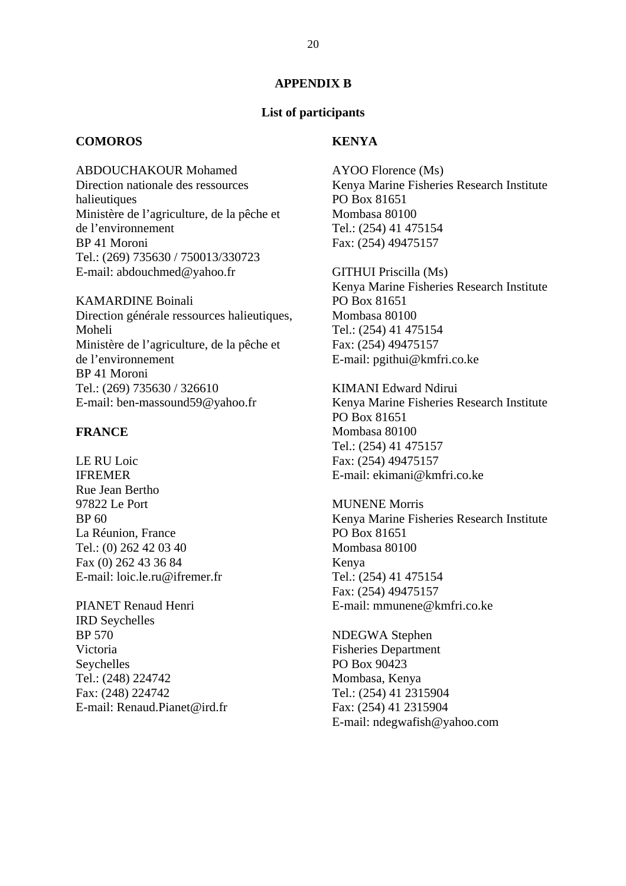### **APPENDIX B**

### **List of participants**

### **COMOROS**

### **KENYA**

ABDOUCHAKOUR Mohamed Direction nationale des ressources halieutiques Ministère de l'agriculture, de la pêche et de l'environnement BP 41 Moroni Tel.: (269) 735630 / 750013/330723 E-mail: abdouchmed@yahoo.fr

KAMARDINE Boinali Direction générale ressources halieutiques, Moheli Ministère de l'agriculture, de la pêche et de l'environnement BP 41 Moroni Tel.: (269) 735630 / 326610 E-mail: ben-massound59@yahoo.fr

### **FRANCE**

LE RU Loic IFREMER Rue Jean Bertho 97822 Le Port BP 60 La Réunion, France Tel.: (0) 262 42 03 40 Fax (0) 262 43 36 84 E-mail: loic.le.ru@ifremer.fr

PIANET Renaud Henri IRD Seychelles BP 570 Victoria Seychelles Tel.: (248) 224742 Fax: (248) 224742 E-mail: Renaud.Pianet@ird.fr AYOO Florence (Ms) Kenya Marine Fisheries Research Institute PO Box 81651 Mombasa 80100 Tel.: (254) 41 475154 Fax: (254) 49475157

GITHUI Priscilla (Ms) Kenya Marine Fisheries Research Institute PO Box 81651 Mombasa 80100 Tel.: (254) 41 475154 Fax: (254) 49475157 E-mail: pgithui@kmfri.co.ke

KIMANI Edward Ndirui Kenya Marine Fisheries Research Institute PO Box 81651 Mombasa 80100 Tel.: (254) 41 475157 Fax: (254) 49475157 E-mail: ekimani@kmfri.co.ke

MUNENE Morris Kenya Marine Fisheries Research Institute PO Box 81651 Mombasa 80100 Kenya Tel.: (254) 41 475154 Fax: (254) 49475157 E-mail: mmunene@kmfri.co.ke

NDEGWA Stephen Fisheries Department PO Box 90423 Mombasa, Kenya Tel.: (254) 41 2315904 Fax: (254) 41 2315904 E-mail: ndegwafish@yahoo.com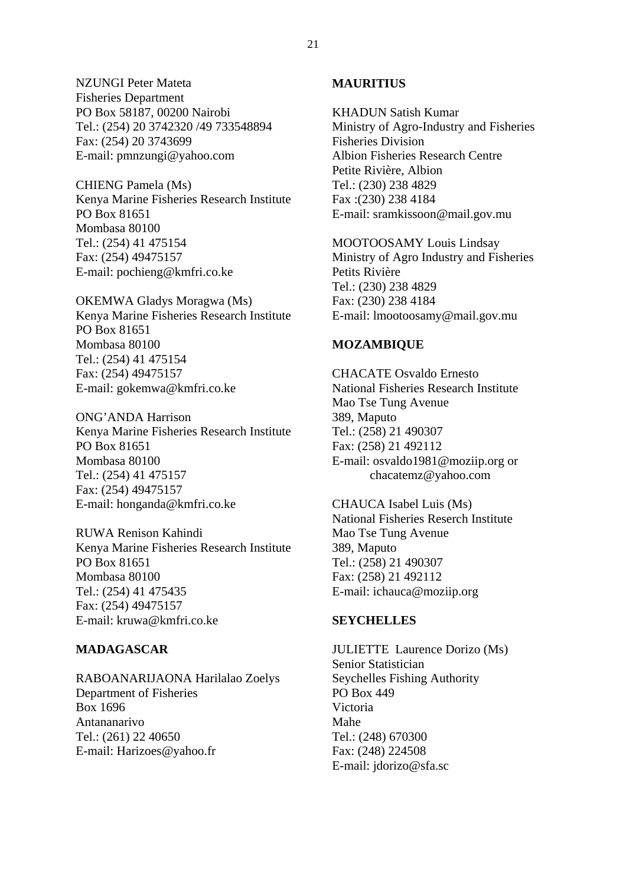NZUNGI Peter Mateta Fisheries Department PO Box 58187, 00200 Nairobi Tel.: (254) 20 3742320 /49 733548894 Fax: (254) 20 3743699 E-mail: pmnzungi@yahoo.com

CHIENG Pamela (Ms) Kenya Marine Fisheries Research Institute PO Box 81651 Mombasa 80100 Tel.: (254) 41 475154 Fax: (254) 49475157 E-mail: pochieng@kmfri.co.ke

OKEMWA Gladys Moragwa (Ms) Kenya Marine Fisheries Research Institute PO Box 81651 Mombasa 80100 Tel.: (254) 41 475154 Fax: (254) 49475157 E-mail: gokemwa@kmfri.co.ke

ONG'ANDA Harrison Kenya Marine Fisheries Research Institute PO Box 81651 Mombasa 80100 Tel.: (254) 41 475157 Fax: (254) 49475157 E-mail: honganda@kmfri.co.ke

RUWA Renison Kahindi Kenya Marine Fisheries Research Institute PO Box 81651 Mombasa 80100 Tel.: (254) 41 475435 Fax: (254) 49475157 E-mail: kruwa@kmfri.co.ke

### **MADAGASCAR**

RABOANARIJAONA Harilalao Zoelys Department of Fisheries Box 1696 Antananarivo Tel.: (261) 22 40650 E-mail: Harizoes@yahoo.fr

### **MAURITIUS**

KHADUN Satish Kumar Ministry of Agro-Industry and Fisheries Fisheries Division Albion Fisheries Research Centre Petite Rivière, Albion Tel.: (230) 238 4829 Fax :(230) 238 4184 E-mail: sramkissoon@mail.gov.mu

MOOTOOSAMY Louis Lindsay Ministry of Agro Industry and Fisheries Petits Rivière Tel.: (230) 238 4829 Fax: (230) 238 4184 E-mail: lmootoosamy@mail.gov.mu

### **MOZAMBIQUE**

CHACATE Osvaldo Ernesto National Fisheries Research Institute Mao Tse Tung Avenue 389, Maputo Tel.: (258) 21 490307 Fax: (258) 21 492112 E-mail: osvaldo1981@moziip.org or chacatemz@yahoo.com

CHAUCA Isabel Luis (Ms) National Fisheries Reserch Institute Mao Tse Tung Avenue 389, Maputo Tel.: (258) 21 490307 Fax: (258) 21 492112 E-mail: ichauca@moziip.org

### **SEYCHELLES**

JULIETTE Laurence Dorizo (Ms) Senior Statistician Seychelles Fishing Authority PO Box 449 Victoria Mahe Tel.: (248) 670300 Fax: (248) 224508 E-mail: jdorizo@sfa.sc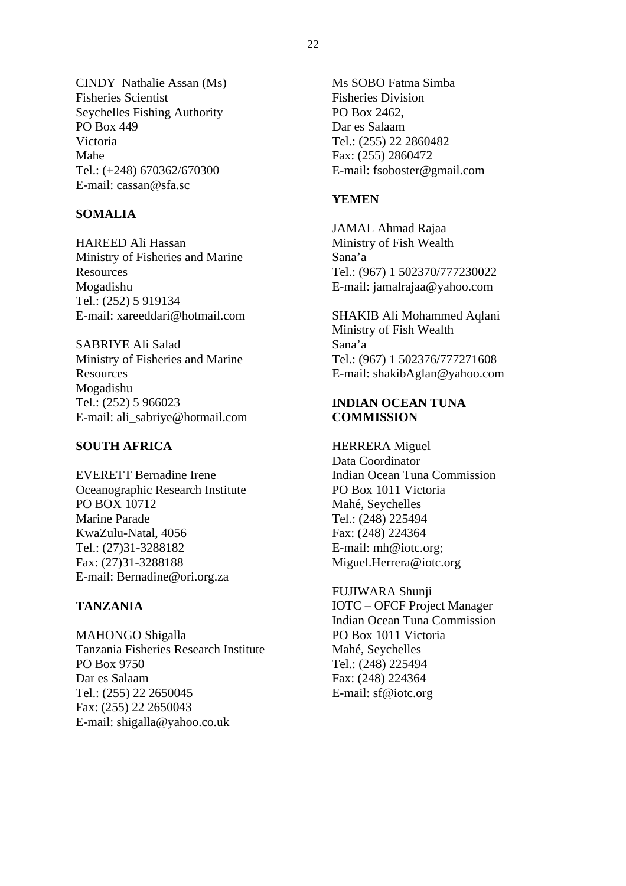CINDY Nathalie Assan (Ms) Fisheries Scientist Seychelles Fishing Authority PO Box 449 Victoria Mahe Tel.: (+248) 670362/670300 E-mail: cassan@sfa.sc

### **SOMALIA**

HAREED Ali Hassan Ministry of Fisheries and Marine Resources Mogadishu Tel.: (252) 5 919134 E-mail: xareeddari@hotmail.com

SABRIYE Ali Salad Ministry of Fisheries and Marine Resources Mogadishu Tel.: (252) 5 966023 E-mail: ali\_sabriye@hotmail.com

### **SOUTH AFRICA**

EVERETT Bernadine Irene Oceanographic Research Institute PO BOX 10712 Marine Parade KwaZulu-Natal, 4056 Tel.: (27)31-3288182 Fax: (27)31-3288188 E-mail: Bernadine@ori.org.za

### **TANZANIA**

MAHONGO Shigalla Tanzania Fisheries Research Institute PO Box 9750 Dar es Salaam Tel.: (255) 22 2650045 Fax: (255) 22 2650043 E-mail: shigalla@yahoo.co.uk

Ms SOBO Fatma Simba Fisheries Division PO Box 2462, Dar es Salaam Tel.: (255) 22 2860482 Fax: (255) 2860472 E-mail: fsoboster@gmail.com

### **YEMEN**

JAMAL Ahmad Rajaa Ministry of Fish Wealth Sana'a Tel.: (967) 1 502370/777230022 E-mail: jamalrajaa@yahoo.com

SHAKIB Ali Mohammed Aqlani Ministry of Fish Wealth Sana'a Tel.: (967) 1 502376/777271608 E-mail: shakibAglan@yahoo.com

### **INDIAN OCEAN TUNA COMMISSION**

HERRERA Miguel Data Coordinator Indian Ocean Tuna Commission PO Box 1011 Victoria Mahé, Seychelles Tel.: (248) 225494 Fax: (248) 224364 E-mail: mh@iotc.org; Miguel.Herrera@iotc.org

FUJIWARA Shunji IOTC – OFCF Project Manager Indian Ocean Tuna Commission PO Box 1011 Victoria Mahé, Seychelles Tel.: (248) 225494 Fax: (248) 224364 E-mail: sf@iotc.org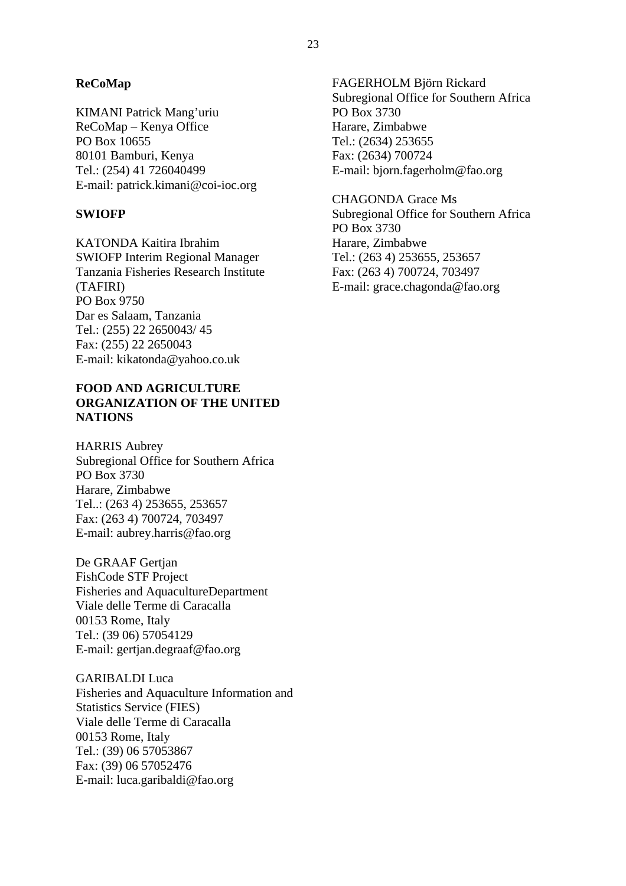### **ReCoMap**

KIMANI Patrick Mang'uriu ReCoMap – Kenya Office PO Box 10655 80101 Bamburi, Kenya Tel.: (254) 41 726040499 E-mail: patrick.kimani@coi-ioc.org

### **SWIOFP**

KATONDA Kaitira Ibrahim SWIOFP Interim Regional Manager Tanzania Fisheries Research Institute (TAFIRI) PO Box 9750 Dar es Salaam, Tanzania Tel.: (255) 22 2650043/ 45 Fax: (255) 22 2650043 E-mail: kikatonda@yahoo.co.uk

### **FOOD AND AGRICULTURE ORGANIZATION OF THE UNITED NATIONS**

HARRIS Aubrey Subregional Office for Southern Africa PO Box 3730 Harare, Zimbabwe Tel..: (263 4) 253655, 253657 Fax: (263 4) 700724, 703497 E-mail: aubrey.harris@fao.org

De GRAAF Gertjan FishCode STF Project Fisheries and AquacultureDepartment Viale delle Terme di Caracalla 00153 Rome, Italy Tel.: (39 06) 57054129 E-mail: gertjan.degraaf@fao.org

GARIBALDI Luca Fisheries and Aquaculture Information and Statistics Service (FIES) Viale delle Terme di Caracalla 00153 Rome, Italy Tel.: (39) 06 57053867 Fax: (39) 06 57052476 E-mail: luca.garibaldi@fao.org

FAGERHOLM Björn Rickard Subregional Office for Southern Africa PO Box 3730 Harare, Zimbabwe Tel.: (2634) 253655 Fax: (2634) 700724 E-mail: bjorn.fagerholm@fao.org

CHAGONDA Grace Ms Subregional Office for Southern Africa PO Box 3730 Harare, Zimbabwe Tel.: (263 4) 253655, 253657 Fax: (263 4) 700724, 703497 E-mail: grace.chagonda@fao.org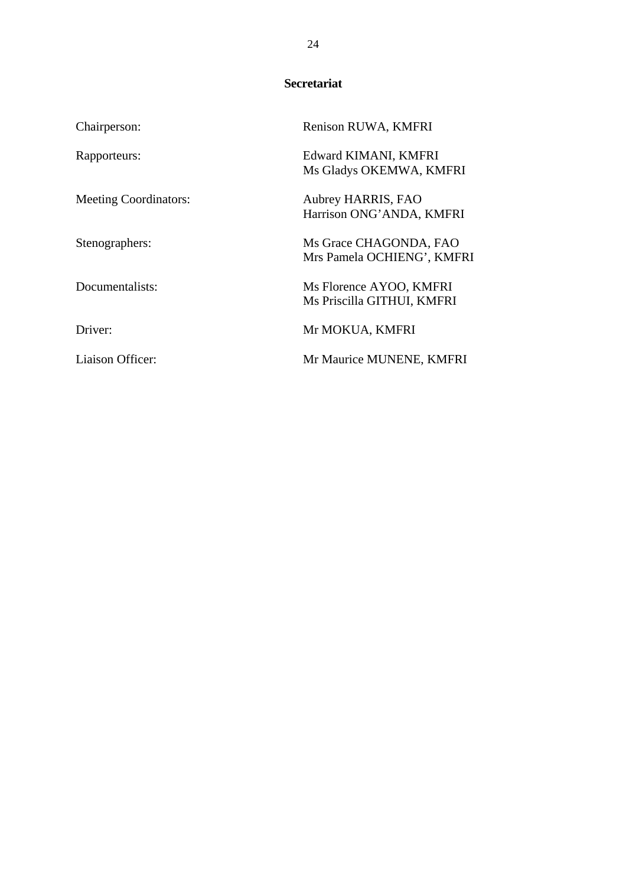### **Secretariat**

| Chairperson:                 | Renison RUWA, KMFRI                                   |
|------------------------------|-------------------------------------------------------|
| Rapporteurs:                 | Edward KIMANI, KMFRI<br>Ms Gladys OKEMWA, KMFRI       |
| <b>Meeting Coordinators:</b> | Aubrey HARRIS, FAO<br>Harrison ONG'ANDA, KMFRI        |
| Stenographers:               | Ms Grace CHAGONDA, FAO<br>Mrs Pamela OCHIENG', KMFRI  |
| Documentalists:              | Ms Florence AYOO, KMFRI<br>Ms Priscilla GITHUI, KMFRI |
| Driver:                      | Mr MOKUA, KMFRI                                       |
| Liaison Officer:             | Mr Maurice MUNENE, KMFRI                              |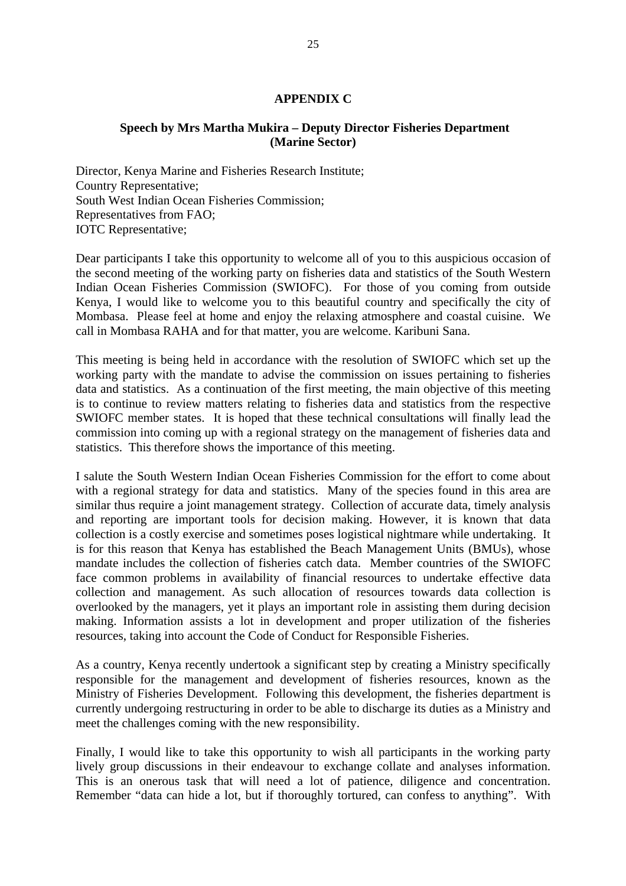### **APPENDIX C**

### **Speech by Mrs Martha Mukira – Deputy Director Fisheries Department (Marine Sector)**

Director, Kenya Marine and Fisheries Research Institute; Country Representative; South West Indian Ocean Fisheries Commission; Representatives from FAO; IOTC Representative;

Dear participants I take this opportunity to welcome all of you to this auspicious occasion of the second meeting of the working party on fisheries data and statistics of the South Western Indian Ocean Fisheries Commission (SWIOFC). For those of you coming from outside Kenya, I would like to welcome you to this beautiful country and specifically the city of Mombasa. Please feel at home and enjoy the relaxing atmosphere and coastal cuisine. We call in Mombasa RAHA and for that matter, you are welcome. Karibuni Sana.

This meeting is being held in accordance with the resolution of SWIOFC which set up the working party with the mandate to advise the commission on issues pertaining to fisheries data and statistics. As a continuation of the first meeting, the main objective of this meeting is to continue to review matters relating to fisheries data and statistics from the respective SWIOFC member states. It is hoped that these technical consultations will finally lead the commission into coming up with a regional strategy on the management of fisheries data and statistics. This therefore shows the importance of this meeting.

I salute the South Western Indian Ocean Fisheries Commission for the effort to come about with a regional strategy for data and statistics. Many of the species found in this area are similar thus require a joint management strategy. Collection of accurate data, timely analysis and reporting are important tools for decision making. However, it is known that data collection is a costly exercise and sometimes poses logistical nightmare while undertaking. It is for this reason that Kenya has established the Beach Management Units (BMUs), whose mandate includes the collection of fisheries catch data. Member countries of the SWIOFC face common problems in availability of financial resources to undertake effective data collection and management. As such allocation of resources towards data collection is overlooked by the managers, yet it plays an important role in assisting them during decision making. Information assists a lot in development and proper utilization of the fisheries resources, taking into account the Code of Conduct for Responsible Fisheries.

As a country, Kenya recently undertook a significant step by creating a Ministry specifically responsible for the management and development of fisheries resources, known as the Ministry of Fisheries Development. Following this development, the fisheries department is currently undergoing restructuring in order to be able to discharge its duties as a Ministry and meet the challenges coming with the new responsibility.

Finally, I would like to take this opportunity to wish all participants in the working party lively group discussions in their endeavour to exchange collate and analyses information. This is an onerous task that will need a lot of patience, diligence and concentration. Remember "data can hide a lot, but if thoroughly tortured, can confess to anything". With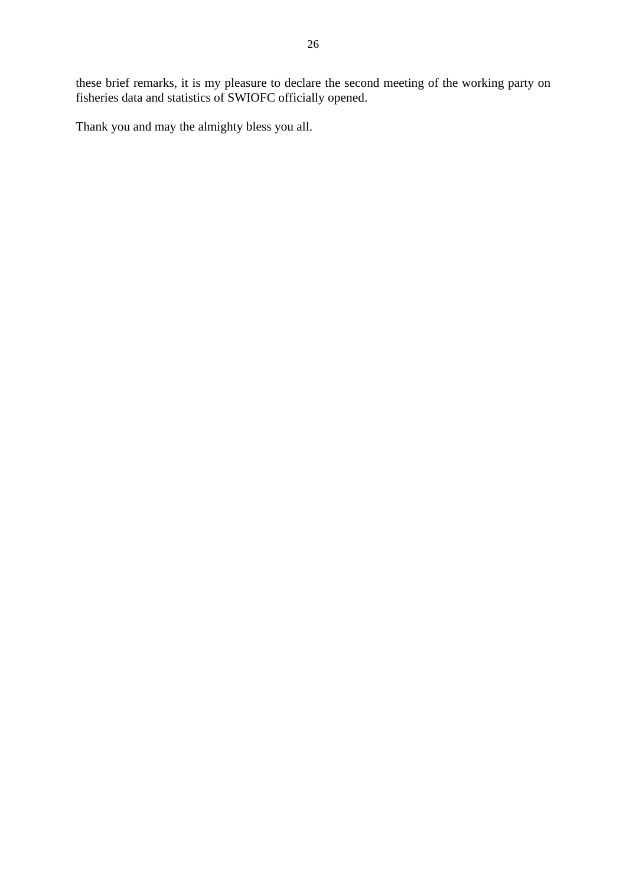these brief remarks, it is my pleasure to declare the second meeting of the working party on fisheries data and statistics of SWIOFC officially opened.

Thank you and may the almighty bless you all.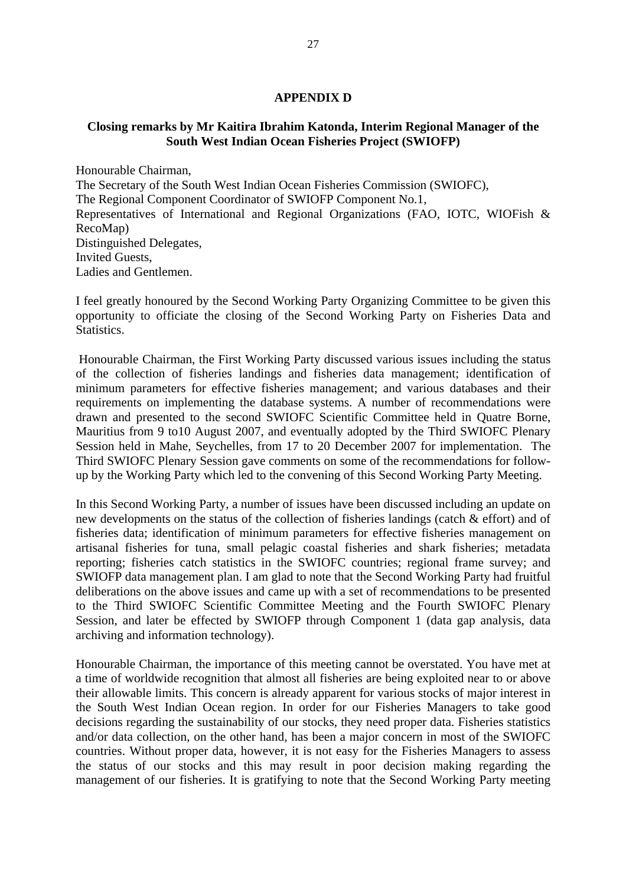### **APPENDIX D**

### **Closing remarks by Mr Kaitira Ibrahim Katonda, Interim Regional Manager of the South West Indian Ocean Fisheries Project (SWIOFP)**

Honourable Chairman, The Secretary of the South West Indian Ocean Fisheries Commission (SWIOFC), The Regional Component Coordinator of SWIOFP Component No.1, Representatives of International and Regional Organizations (FAO, IOTC, WIOFish & RecoMap) Distinguished Delegates, Invited Guests, Ladies and Gentlemen.

I feel greatly honoured by the Second Working Party Organizing Committee to be given this opportunity to officiate the closing of the Second Working Party on Fisheries Data and Statistics.

 Honourable Chairman, the First Working Party discussed various issues including the status of the collection of fisheries landings and fisheries data management; identification of minimum parameters for effective fisheries management; and various databases and their requirements on implementing the database systems. A number of recommendations were drawn and presented to the second SWIOFC Scientific Committee held in Quatre Borne, Mauritius from 9 to10 August 2007, and eventually adopted by the Third SWIOFC Plenary Session held in Mahe, Seychelles, from 17 to 20 December 2007 for implementation. The Third SWIOFC Plenary Session gave comments on some of the recommendations for followup by the Working Party which led to the convening of this Second Working Party Meeting.

In this Second Working Party, a number of issues have been discussed including an update on new developments on the status of the collection of fisheries landings (catch & effort) and of fisheries data; identification of minimum parameters for effective fisheries management on artisanal fisheries for tuna, small pelagic coastal fisheries and shark fisheries; metadata reporting; fisheries catch statistics in the SWIOFC countries; regional frame survey; and SWIOFP data management plan. I am glad to note that the Second Working Party had fruitful deliberations on the above issues and came up with a set of recommendations to be presented to the Third SWIOFC Scientific Committee Meeting and the Fourth SWIOFC Plenary Session, and later be effected by SWIOFP through Component 1 (data gap analysis, data archiving and information technology).

Honourable Chairman, the importance of this meeting cannot be overstated. You have met at a time of worldwide recognition that almost all fisheries are being exploited near to or above their allowable limits. This concern is already apparent for various stocks of major interest in the South West Indian Ocean region. In order for our Fisheries Managers to take good decisions regarding the sustainability of our stocks, they need proper data. Fisheries statistics and/or data collection, on the other hand, has been a major concern in most of the SWIOFC countries. Without proper data, however, it is not easy for the Fisheries Managers to assess the status of our stocks and this may result in poor decision making regarding the management of our fisheries. It is gratifying to note that the Second Working Party meeting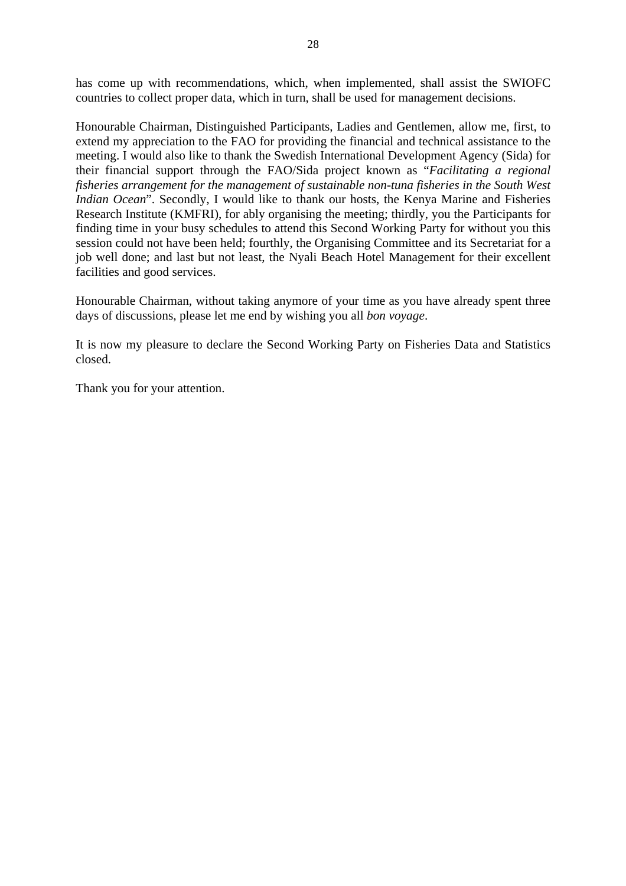has come up with recommendations, which, when implemented, shall assist the SWIOFC countries to collect proper data, which in turn, shall be used for management decisions.

Honourable Chairman, Distinguished Participants, Ladies and Gentlemen, allow me, first, to extend my appreciation to the FAO for providing the financial and technical assistance to the meeting. I would also like to thank the Swedish International Development Agency (Sida) for their financial support through the FAO/Sida project known as "*Facilitating a regional fisheries arrangement for the management of sustainable non-tuna fisheries in the South West Indian Ocean*". Secondly, I would like to thank our hosts, the Kenya Marine and Fisheries Research Institute (KMFRI), for ably organising the meeting; thirdly, you the Participants for finding time in your busy schedules to attend this Second Working Party for without you this session could not have been held; fourthly, the Organising Committee and its Secretariat for a job well done; and last but not least, the Nyali Beach Hotel Management for their excellent facilities and good services.

Honourable Chairman, without taking anymore of your time as you have already spent three days of discussions, please let me end by wishing you all *bon voyage*.

It is now my pleasure to declare the Second Working Party on Fisheries Data and Statistics closed.

Thank you for your attention.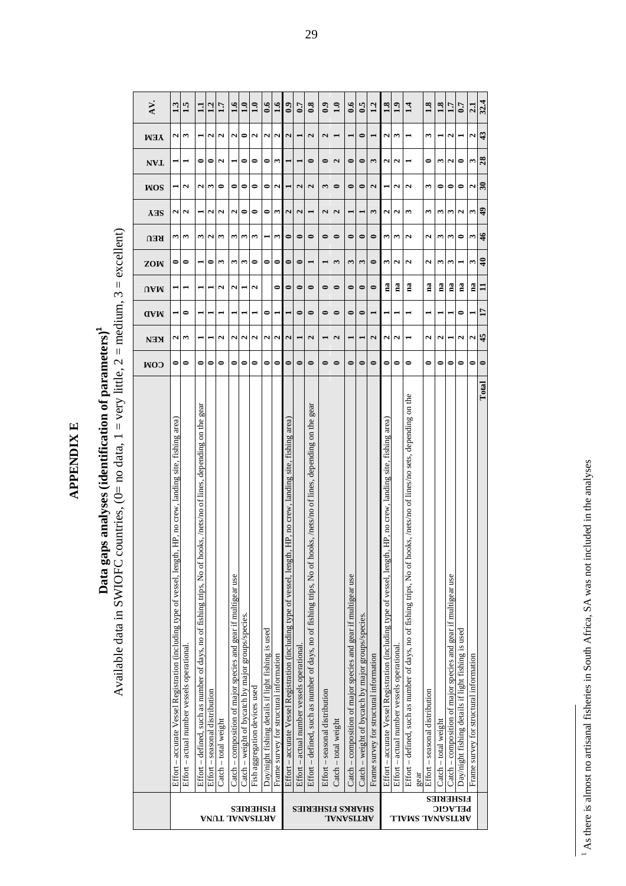**APPENDIX E APPENDIX E** 

## Data gaps analyses (identification of parameters)<sup>1</sup> **Data gaps analyses (identification of parameters)1**

Available data in SWIOFC countries, (0= no data, 1 = very little, 2 = medium, 3 = excellent) Available data in SWIOFC countries, (0= no data, 1 = very little, 2 = medium, 3 = excellent)

| $\mathbf{z}$<br>3<br>2<br>0<br>0<br>0<br>0<br>N<br>0<br>0<br>0<br>S<br>0<br>0<br>$\bullet$<br>0<br>$\mathbf{\mathbf{a}}$<br>2<br><b>NVL</b><br>ω<br>$\bullet$<br>0<br>$\bullet$<br>$\mathbf{\mathbf{z}}$<br>2<br>3<br>$\bullet$<br>N<br>2<br>ω<br>0<br>0<br>0<br>N<br>2<br>2<br>3<br>$\bullet$<br>0<br>2<br>0<br>0<br><b>NOS</b><br>2<br>0<br>$\mathbf{\mathbf{z}}$<br>$\mathbf{\mathbf{z}}$<br>$\mathbf{\hat{z}}$<br>3<br>2<br>ω<br>3<br>٦<br>N<br>2<br>N<br>0<br>0<br>S<br>2<br>$\mathbf{\tilde{c}}$<br>3<br>2<br><b>AHS</b><br>ω<br>3<br>ω<br>0<br>$\bullet$<br>$\bullet$<br>$\bullet$<br>ω<br>2<br>2<br>0<br>3<br>2<br>S<br>3<br>ω<br>S<br>0<br>0<br>$\bullet$<br>0<br>3<br>3<br><b>REU</b><br>m<br>ω<br>ω<br>0<br>0<br>$\bullet$<br>3<br>$\bullet$<br>3<br>2<br>2<br>0<br>0<br>0<br>S<br>3<br>0<br>$\bullet$<br>3<br>3<br>2<br>3<br>ZOW<br>ణ<br>na<br>na<br>na<br>na<br>$\mathbf{a}$<br>$\mathbf{a}$<br>na<br>$\bullet$<br>2<br>u<br>0<br>$\bullet$<br>$\bullet$<br>$\bullet$<br>$\bullet$<br>N<br>0<br>0<br>0<br>$\Omega$ VM<br>$\bullet$<br>$\bullet$<br>0<br>0<br>$\bullet$<br>0<br>0<br>$\bullet$<br>0<br>$\blacksquare$<br>⊣<br><b>AAA</b><br>2<br>$\overline{\mathbf{c}}$<br>$\mathbf{\hat{z}}$<br>$\overline{\mathbf{c}}$<br>2<br>2<br>٦<br>3<br>N<br>$\mathbf{\hat{z}}$<br>N<br>2<br>$\mathbf{z}$<br>2<br>2<br>и<br>2<br><b>KEN</b><br>$\bullet$<br>0<br>0<br>0<br>$\bullet$<br>$\bullet$<br>$\bullet$<br>$\bullet$<br>0<br>$\bullet$<br>0<br>$\bullet$<br>0<br>0<br>0<br>0<br>0<br>0<br>0<br>0<br>0<br>0<br>0<br>0<br>0<br>COM<br>hooks, /nets/no of lines/no sets, depending on the<br>gear<br>hooks, /nets/no of lines, depending on the gear<br>hooks, /nets/no of lines, depending on the<br>- accurate Vessel Registration (including type of vessel, length, HP, no crew, landing site, fishing area)<br>Effort – accurate Vessel Registration (including type of vessel, length, HP, no crew, landing site, fishing area)<br>th, HP, no crew, landing site, fishing area)<br>Effort – defined, such as number of days, no of fishing trips, No of<br>Effort - defined, such as number of days, no of fishing trips, No of<br>Effort – defined, such as number of days, no of fishing trips, No of<br>Effort - accurate Vessel Registration (including type of vessel, len<br>Catch - composition of major species and gear if multigear use<br>Catch – composition of major species and gear if multigear use<br>Catch – composition of major species and gear if multigear use<br>Catch - weight of bycatch by major groups/species.<br>Catch – weight of bycatch by major groups/species<br>Day/night fishing details if light fishing is used<br>Day/night fishing details if light fishing is used<br>Effort - actual number vessels operational<br>Effort – actual number vessels operational<br>Effort - actual number vessels operational<br>Frame survey for structural information<br>Frame survey for structural information<br>Fish aggregation devices used<br>Effort – seasonal distribution<br>Effort - seasonal distribution<br>Effort – seasonal distribution<br>Catch - total weight<br>Catch - total weight<br>$\text{Catch} - \text{total weight}$<br>Effort<br>gear | AV.<br><b>NEW</b> | 13<br>٦ | 1.5<br>3 | $\Xi$ | 1.2<br>٦ | 1.7<br>N | $\ddot{ }$<br>2 | $\mathbf{a}$<br>0 | 1.0<br>N | 6.6<br>2 | $\ddot{1.6}$<br>N | $\ddot{\bm{0}}$<br>$\overline{\mathbf{c}}$ | 0.7 | $\overline{\mathbf{0.8}}$<br>2 | $\ddot{0}$<br>$\mathbf{c}$ | 1.0<br>$\blacksquare$ | $\ddot{\bm{s}}$ | $\ddot{6}$<br>0 | 1.2<br>$\blacksquare$ | 1.8<br>٩ | 1.9<br>3 | $\ddot{1}$ | 1.8<br>3 | $\ddot{1.8}$ | 1.7<br>٦ | 0.7 | 2.1<br>И                                |
|--------------------------------------------------------------------------------------------------------------------------------------------------------------------------------------------------------------------------------------------------------------------------------------------------------------------------------------------------------------------------------------------------------------------------------------------------------------------------------------------------------------------------------------------------------------------------------------------------------------------------------------------------------------------------------------------------------------------------------------------------------------------------------------------------------------------------------------------------------------------------------------------------------------------------------------------------------------------------------------------------------------------------------------------------------------------------------------------------------------------------------------------------------------------------------------------------------------------------------------------------------------------------------------------------------------------------------------------------------------------------------------------------------------------------------------------------------------------------------------------------------------------------------------------------------------------------------------------------------------------------------------------------------------------------------------------------------------------------------------------------------------------------------------------------------------------------------------------------------------------------------------------------------------------------------------------------------------------------------------------------------------------------------------------------------------------------------------------------------------------------------------------------------------------------------------------------------------------------------------------------------------------------------------------------------------------------------------------------------------------------------------------------------------------------------------------------------------------------------------------------------------------------------------------------------------------------------------------------------------------------------------------------------------------------------------------------------------------------------------------------------------------------------------------------------------------------------------------------------------------------------------------------------------------------------------------------------------------------------------------------------------------------------------------------------------------------------------------------------------------------------------------------------------------------------------------------------------|-------------------|---------|----------|-------|----------|----------|-----------------|-------------------|----------|----------|-------------------|--------------------------------------------|-----|--------------------------------|----------------------------|-----------------------|-----------------|-----------------|-----------------------|----------|----------|------------|----------|--------------|----------|-----|-----------------------------------------|
|                                                                                                                                                                                                                                                                                                                                                                                                                                                                                                                                                                                                                                                                                                                                                                                                                                                                                                                                                                                                                                                                                                                                                                                                                                                                                                                                                                                                                                                                                                                                                                                                                                                                                                                                                                                                                                                                                                                                                                                                                                                                                                                                                                                                                                                                                                                                                                                                                                                                                                                                                                                                                                                                                                                                                                                                                                                                                                                                                                                                                                                                                                                                                                                                              |                   |         |          |       |          |          |                 |                   |          |          |                   |                                            |     |                                |                            |                       |                 |                 |                       |          |          |            |          |              |          |     | 3                                       |
|                                                                                                                                                                                                                                                                                                                                                                                                                                                                                                                                                                                                                                                                                                                                                                                                                                                                                                                                                                                                                                                                                                                                                                                                                                                                                                                                                                                                                                                                                                                                                                                                                                                                                                                                                                                                                                                                                                                                                                                                                                                                                                                                                                                                                                                                                                                                                                                                                                                                                                                                                                                                                                                                                                                                                                                                                                                                                                                                                                                                                                                                                                                                                                                                              |                   |         |          |       |          |          |                 |                   |          |          |                   |                                            |     |                                |                            |                       |                 |                 |                       |          |          |            |          |              |          |     | $\mathbf{z}$                            |
|                                                                                                                                                                                                                                                                                                                                                                                                                                                                                                                                                                                                                                                                                                                                                                                                                                                                                                                                                                                                                                                                                                                                                                                                                                                                                                                                                                                                                                                                                                                                                                                                                                                                                                                                                                                                                                                                                                                                                                                                                                                                                                                                                                                                                                                                                                                                                                                                                                                                                                                                                                                                                                                                                                                                                                                                                                                                                                                                                                                                                                                                                                                                                                                                              |                   |         |          |       |          |          |                 |                   |          |          |                   |                                            |     |                                |                            |                       |                 |                 |                       |          |          |            |          |              |          |     | ω                                       |
|                                                                                                                                                                                                                                                                                                                                                                                                                                                                                                                                                                                                                                                                                                                                                                                                                                                                                                                                                                                                                                                                                                                                                                                                                                                                                                                                                                                                                                                                                                                                                                                                                                                                                                                                                                                                                                                                                                                                                                                                                                                                                                                                                                                                                                                                                                                                                                                                                                                                                                                                                                                                                                                                                                                                                                                                                                                                                                                                                                                                                                                                                                                                                                                                              |                   |         |          |       |          |          |                 |                   |          |          |                   |                                            |     |                                |                            |                       |                 |                 |                       |          |          |            |          |              |          |     | ω                                       |
|                                                                                                                                                                                                                                                                                                                                                                                                                                                                                                                                                                                                                                                                                                                                                                                                                                                                                                                                                                                                                                                                                                                                                                                                                                                                                                                                                                                                                                                                                                                                                                                                                                                                                                                                                                                                                                                                                                                                                                                                                                                                                                                                                                                                                                                                                                                                                                                                                                                                                                                                                                                                                                                                                                                                                                                                                                                                                                                                                                                                                                                                                                                                                                                                              |                   |         |          |       |          |          |                 |                   |          |          |                   |                                            |     |                                |                            |                       |                 |                 |                       |          |          |            |          |              |          |     | ω                                       |
|                                                                                                                                                                                                                                                                                                                                                                                                                                                                                                                                                                                                                                                                                                                                                                                                                                                                                                                                                                                                                                                                                                                                                                                                                                                                                                                                                                                                                                                                                                                                                                                                                                                                                                                                                                                                                                                                                                                                                                                                                                                                                                                                                                                                                                                                                                                                                                                                                                                                                                                                                                                                                                                                                                                                                                                                                                                                                                                                                                                                                                                                                                                                                                                                              |                   |         |          |       |          |          |                 |                   |          |          |                   |                                            |     |                                |                            |                       |                 |                 |                       |          |          |            |          |              |          |     | na                                      |
|                                                                                                                                                                                                                                                                                                                                                                                                                                                                                                                                                                                                                                                                                                                                                                                                                                                                                                                                                                                                                                                                                                                                                                                                                                                                                                                                                                                                                                                                                                                                                                                                                                                                                                                                                                                                                                                                                                                                                                                                                                                                                                                                                                                                                                                                                                                                                                                                                                                                                                                                                                                                                                                                                                                                                                                                                                                                                                                                                                                                                                                                                                                                                                                                              |                   |         |          |       |          |          |                 |                   |          |          |                   |                                            |     |                                |                            |                       |                 |                 |                       |          |          |            |          |              |          |     |                                         |
|                                                                                                                                                                                                                                                                                                                                                                                                                                                                                                                                                                                                                                                                                                                                                                                                                                                                                                                                                                                                                                                                                                                                                                                                                                                                                                                                                                                                                                                                                                                                                                                                                                                                                                                                                                                                                                                                                                                                                                                                                                                                                                                                                                                                                                                                                                                                                                                                                                                                                                                                                                                                                                                                                                                                                                                                                                                                                                                                                                                                                                                                                                                                                                                                              |                   |         |          |       |          |          |                 |                   |          |          |                   |                                            |     |                                |                            |                       |                 |                 |                       |          |          |            |          |              |          |     | И                                       |
|                                                                                                                                                                                                                                                                                                                                                                                                                                                                                                                                                                                                                                                                                                                                                                                                                                                                                                                                                                                                                                                                                                                                                                                                                                                                                                                                                                                                                                                                                                                                                                                                                                                                                                                                                                                                                                                                                                                                                                                                                                                                                                                                                                                                                                                                                                                                                                                                                                                                                                                                                                                                                                                                                                                                                                                                                                                                                                                                                                                                                                                                                                                                                                                                              |                   |         |          |       |          |          |                 |                   |          |          |                   |                                            |     |                                |                            |                       |                 |                 |                       |          |          |            |          |              |          |     | 0                                       |
|                                                                                                                                                                                                                                                                                                                                                                                                                                                                                                                                                                                                                                                                                                                                                                                                                                                                                                                                                                                                                                                                                                                                                                                                                                                                                                                                                                                                                                                                                                                                                                                                                                                                                                                                                                                                                                                                                                                                                                                                                                                                                                                                                                                                                                                                                                                                                                                                                                                                                                                                                                                                                                                                                                                                                                                                                                                                                                                                                                                                                                                                                                                                                                                                              |                   |         |          |       |          |          |                 |                   |          |          |                   |                                            |     |                                |                            |                       |                 |                 |                       |          |          |            |          |              |          |     | Frame survey for structural information |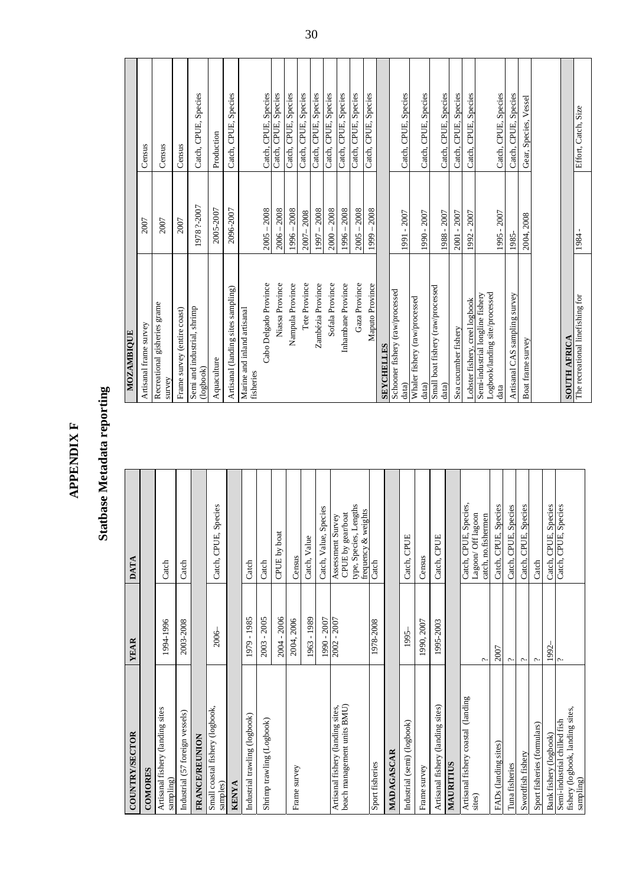| Ŧ      |
|--------|
|        |
|        |
|        |
|        |
| ;<br>٢ |

### **Statbase Metadata reporting Statbase Metadata reporting**

| COUNTRY/SECTOR                                                                | <b>YEAR</b>           | <b>DATA</b>                                                                             |
|-------------------------------------------------------------------------------|-----------------------|-----------------------------------------------------------------------------------------|
| COMORES                                                                       |                       |                                                                                         |
| Artisanal fishery (landing sites<br>sampling)                                 | 1994-1996             | Catch                                                                                   |
| Industrial (57 foreign vessels)                                               | 2003-2008             | Catch                                                                                   |
| <b>FRANCE/REUNION</b>                                                         |                       |                                                                                         |
| Small coastal fishery (logbook,<br>samples)                                   | 2006                  | Catch, CPUE, Species                                                                    |
| <b>KENYA</b>                                                                  |                       |                                                                                         |
| Industrial trawling (logbook)                                                 | 1979 - 1985           | Catch                                                                                   |
| Shrimp trawling (Logbook)                                                     | $-2005$<br>2003       | Catch                                                                                   |
|                                                                               | 2004 - 2006           | CPUE by boat                                                                            |
| Frame survey                                                                  | 2004, 2006            | Census                                                                                  |
|                                                                               | 1963 - 1989           | Catch, Value                                                                            |
|                                                                               | 1990 - 2007           | Catch, Value, Species                                                                   |
| beach management units BMU)<br>Artisanal fishery (landing sites,              | 2002 - 2007           | type, Species, Lengths<br>frequency & weights<br>CPUE by gear/boat<br>Assessment Survey |
| Sport fisheries                                                               | 1978-2008             | Catch                                                                                   |
| MADAGASCAR                                                                    |                       |                                                                                         |
| Industrial (semi) (logbook)                                                   | 1995-                 | Catch, CPUE                                                                             |
| Frame survey                                                                  | 1990, 2007            | Census                                                                                  |
| Artisanal fishery (landing sites)                                             | 1995-2003             | Catch, CPUE                                                                             |
| MAURITIUS                                                                     |                       |                                                                                         |
| Artisanal fishery coastal (landing<br>sites)                                  | پ                     | Catch, CPUE, Species,<br>Lagoon/Off lagoon<br>catch, no.fishermen                       |
| FADs (landing sites)                                                          | 2007                  | Species<br>Catch, CPUE,                                                                 |
| Tuna fisheries                                                                | $\tilde{\phantom{a}}$ | Catch, CPUE, Species                                                                    |
| Swordfish fishery                                                             | $\tilde{\phantom{0}}$ | CPUE, Species<br>Catch,                                                                 |
| Sport fisheries (formulars)                                                   | ç.                    | Catch                                                                                   |
| Bank fishery (logbook)                                                        | 1992-                 | CPUE, Species<br>Catch,                                                                 |
| fishery (logbook, landing sites,<br>Semi-industrial chilled fish<br>sampling) | $\sim$                | Catch, CPUE, Species                                                                    |

| <b>MOZAMBIQUE</b>                                                          |                    |                         |
|----------------------------------------------------------------------------|--------------------|-------------------------|
| Artisanal frame survey                                                     | 2007               | Census                  |
| Recreational gisheries grame<br>survey                                     | 2007               | Census                  |
| Frame survey (entire coast)                                                | 2007               | Census                  |
| Semi and industrial, shrimp<br>(logbook)                                   | 1978?-2007         | Catch, CPUE, Species    |
| Aquaculture                                                                | 2005-2007          | Production              |
| Artisanal (landing sites sampling)                                         | 2096-2007          | Catch, CPUE, Species    |
| Marine and inland artisanal<br>fisheries                                   |                    |                         |
| Cabo Delgado Province                                                      | 2008<br>$2005 - 2$ | Catch, CPUE, Species    |
| Niassa Province                                                            | $2006 - 2008$      | Catch, CPUE, Species    |
| Nampula Province                                                           | $1996 - 2008$      | Catch, CPUE, Species    |
| Tete Province                                                              | 2007-2008          | Catch, CPUE, Species    |
| Zambézia Province                                                          | $1997 - 2008$      | Catch, CPUE, Species    |
| Sofala Province                                                            | $2000 - 2008$      | Catch, CPUE, Species    |
| Inhambane Province                                                         | 2008<br>$1996 -$   | Catch, CPUE, Species    |
| Gaza Province                                                              | 2008<br>2005       | Catch, CPUE, Species    |
| Maputo Province                                                            | 2008<br>$1999 -$   | Catch, CPUE, Species    |
| <b>SEYCHELLES</b>                                                          |                    |                         |
| Schooner fishery (raw/processed<br>data)                                   | 1991 - 2007        | Catch, CPUE, Species    |
| Whaler fishery (raw/processed<br>data)                                     | 1990 - 2007        | Catch, CPUE, Species    |
| Small boat fishery (raw/processed<br>data)                                 | 1988 - 2007        | Catch, CPUE, Species    |
| Sea cucumber fishery                                                       | 2001 - 2007        | Species<br>Catch, CPUE, |
| Lobster fishery, creel logbook                                             | $-2007$<br>1992    | Catch, CPUE, Species    |
| Logbook/landing site/processed<br>Semi-industrial longline fishery<br>data | 1995 - 2007        | Catch, CPUE, Species    |
| Artisanal CAS sampling survey                                              | 1985               | Catch, CPUE, Species    |
| Boat frame survey                                                          | 2004, 2008         | Gear, Species, Vessel   |
|                                                                            |                    |                         |
| <b>SOUTH AFRICA</b>                                                        |                    |                         |
| The recreational linefishing for                                           | 1984 -             | Effort, Catch, Size     |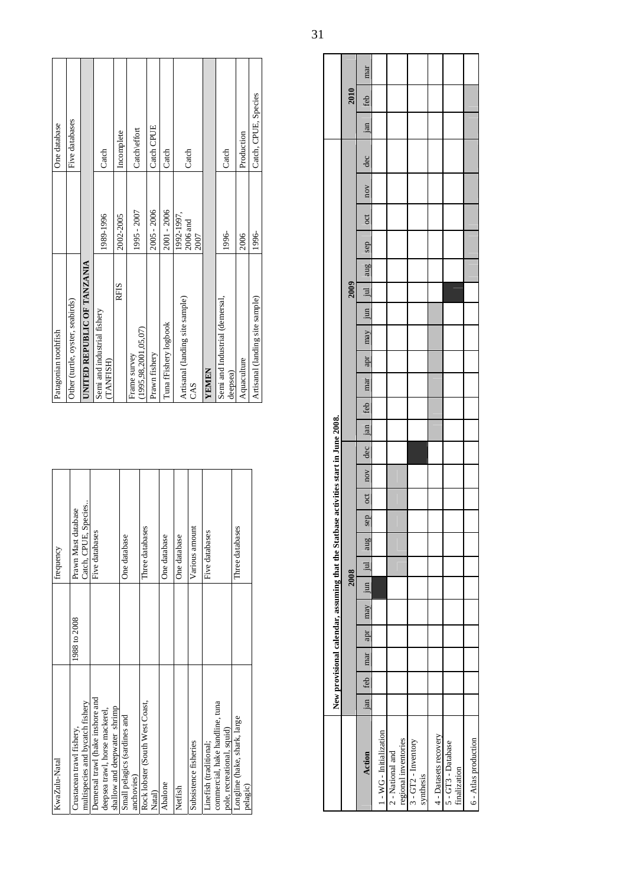| KwaZulu-Natal                    |              | frequency            |
|----------------------------------|--------------|----------------------|
| Crustacean trawl fishery,        | 1988 to 2008 | Prawn Mast database  |
| multispecies and bycatch fishery |              | Catch, CPUE, Species |
| Demersal trawl (hake inshore and |              | Five databases       |
| deepsea trawl, horse mackerel,   |              |                      |
| shallow and deepwater shrimp     |              |                      |
| Small pelagics (sardines and     |              | One database         |
| anchovies)                       |              |                      |
| Rock lobster (South West Coast,  |              | Three databases      |
| Natal)                           |              |                      |
| Abalone                          |              | One database         |
| Netfish                          |              | One database         |
| Subsistence fisheries            |              | Various amount       |
| Linefish (traditional;           |              | Five databases       |
| commercial, hake handline, tuna  |              |                      |
| pole, recreational, squid)       |              |                      |
| Longline (hake, shark, large     |              | Three databases      |
| pelagic)                         |              |                      |
|                                  |              |                      |

| Patagonian toothfish                       |                                | One database         |
|--------------------------------------------|--------------------------------|----------------------|
| Other (turtle, oyster, seabirds)           |                                | Five databases       |
| UNITED REPUBLIC OF TANZANIA                |                                |                      |
| Semi and industrial fishery<br>(TANFISH)   | 1989-1996                      | Catch                |
| RFIS                                       | 2002-2005                      | Incomplete           |
| (1995.98.2001.05.07)<br>Frame survey       | 1995 - 2007                    | Catch\effort         |
| Prawn fishery                              | 2005 - 2006                    | Catch CPUE           |
| Tuna fFishery logbook                      | 2001 - 2006                    | Catch                |
| Artisanal (landing site sample)<br>CAS     | 1992-1997,<br>2006 and<br>2007 | Catch                |
| <b>YEMEN</b>                               |                                |                      |
| Semi and Industrial (demersal,<br>deepsea) | 1996-                          | Catch                |
| Aquaculture                                | 2006                           | Production           |
| Artisanal (landing site sample)            | 1996-                          | Catch, CPUE, Species |

|                                          |     |     | New provisional calendar, assuming that the Statbase activities start in June 2008. |                     |      |     |     |     |     |     |     |     |     |     |     |     |                         |            |     |     |     |     |      |     |
|------------------------------------------|-----|-----|-------------------------------------------------------------------------------------|---------------------|------|-----|-----|-----|-----|-----|-----|-----|-----|-----|-----|-----|-------------------------|------------|-----|-----|-----|-----|------|-----|
|                                          |     |     |                                                                                     |                     | 2008 |     |     |     |     |     |     |     |     |     |     |     | 2009                    |            |     |     |     |     | 2010 |     |
| Action                                   | jan | feb | mar                                                                                 | apr may   jun   jul |      | aug | sep | oct | nov | dec | jan | feb | mar | apr | may | jun | $\overline{\mathbf{u}}$ | sep<br>aug | oct | nov | dec | jan | feb  | mar |
| 1 - WG - Initialization                  |     |     |                                                                                     |                     |      |     |     |     |     |     |     |     |     |     |     |     |                         |            |     |     |     |     |      |     |
| regional inventories<br>2 - National and |     |     |                                                                                     |                     |      |     |     |     |     |     |     |     |     |     |     |     |                         |            |     |     |     |     |      |     |
| $3 - GT2$ - Inventory<br>synthesis       |     |     |                                                                                     |                     |      |     |     |     |     |     |     |     |     |     |     |     |                         |            |     |     |     |     |      |     |
| 4 - Datasets recovery                    |     |     |                                                                                     |                     |      |     |     |     |     |     |     |     |     |     |     |     |                         |            |     |     |     |     |      |     |
| 5 - GT3 - Database<br>finalization       |     |     |                                                                                     |                     |      |     |     |     |     |     |     |     |     |     |     |     |                         |            |     |     |     |     |      |     |
| 6 - Atlas production                     |     |     |                                                                                     |                     |      |     |     |     |     |     |     |     |     |     |     |     |                         |            |     |     |     |     |      |     |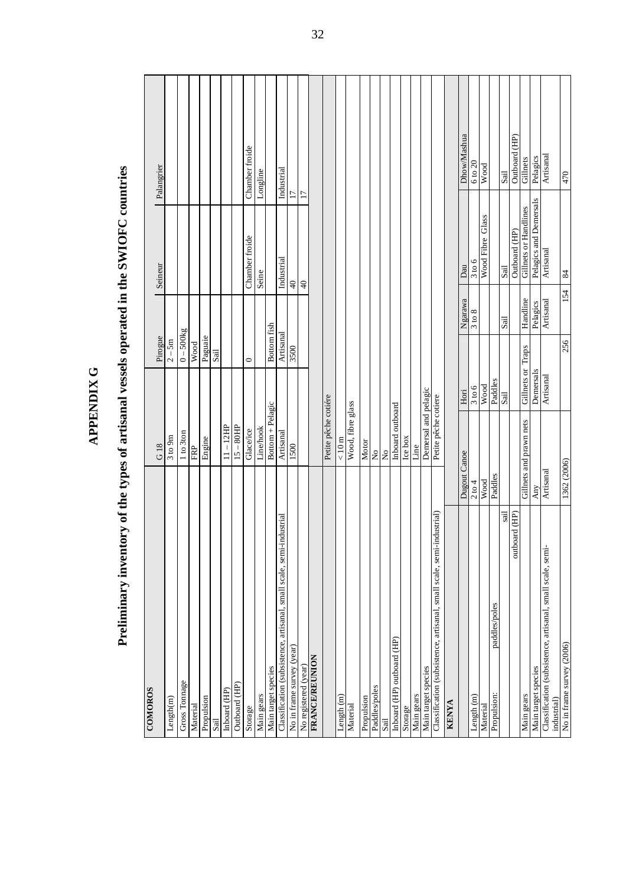| <b>COMOROS</b>                                                            | G18                       | Pirogue                |           | Seineur                | Palangrier         |
|---------------------------------------------------------------------------|---------------------------|------------------------|-----------|------------------------|--------------------|
| Length(m)                                                                 | 3 to 9m                   | $2 - 5m$               |           |                        |                    |
| Gross Tonnage                                                             | 1 to 3ton                 | $\overline{0}$ – 500kg |           |                        |                    |
| Material                                                                  | FRP                       | Wood                   |           |                        |                    |
| Propulsion                                                                | Engine                    | Paguaie                |           |                        |                    |
| Sail                                                                      |                           | Sail                   |           |                        |                    |
| Inboard (HP)                                                              | $11 - 12HP$               |                        |           |                        |                    |
| Outboard (HP)                                                             | $15 - 80$ HP              |                        |           |                        |                    |
| Storage                                                                   | Glace/ice                 | $\circ$                |           | Chamber froide         | Chamber froide     |
| Main gears                                                                | Line/hook                 |                        |           | Seine                  | Longline           |
| Main target species                                                       | Bottom + Pelagic          | Bottom fish            |           |                        |                    |
| Classification (subsistence, artisanal, small scale, semi-industrial      | Artisanal                 | Artisanal              |           | Industrial             | Industrial         |
| No in frame survey (year)                                                 | 1500                      | 3500                   |           | $\ominus$              | $\overline{17}$    |
| No registered (year)                                                      |                           |                        |           | $\overline{40}$        | $\overline{17}$    |
| <b>FRANCE/REUNION</b>                                                     |                           |                        |           |                        |                    |
|                                                                           | Petite pêche cotiére      |                        |           |                        |                    |
| ength (m)                                                                 | $< 10 \text{ m}$          |                        |           |                        |                    |
| Material                                                                  | Wood, fibre glass         |                        |           |                        |                    |
| Propulsion                                                                | Motor                     |                        |           |                        |                    |
| Paddles/poles                                                             | $\tilde{z}$               |                        |           |                        |                    |
| Sail                                                                      | $\mathsf{S}^{\mathsf{o}}$ |                        |           |                        |                    |
| Inboard (HP) outboard (HP)                                                | Inboard outboard          |                        |           |                        |                    |
| Storage                                                                   | Ice box                   |                        |           |                        |                    |
| Main gears                                                                | Line                      |                        |           |                        |                    |
| Main target species                                                       | Demersal and pelagic      |                        |           |                        |                    |
| Classification (subsistence, artisanal, small scale, semi-industrial)     | Petite pêche cotiere      |                        |           |                        |                    |
| <b>KENYA</b>                                                              |                           |                        |           |                        |                    |
|                                                                           | Dugout Canoe              | Hori                   | Ngarawa   | Dau                    | Dhow/Mashua        |
| Length (m)                                                                | 2 to 4                    | 3 to 6                 | 3 to 8    | 3 to 6                 | $6 \text{ to } 20$ |
| Material                                                                  | Wood                      | Wood                   |           | Wood Fibre Glass       | Wood               |
| paddles/poles<br>Propulsion:                                              | Paddles                   | Paddles                |           |                        |                    |
| sail                                                                      |                           | Sail                   | Sail      | Sail                   | Sail               |
| outboard (HP)                                                             |                           |                        |           | Outboard (HP)          | Outboard (HP)      |
| Main gears                                                                | Gillnets and prawn nets   | Gillnets or Traps      | Handline  | Gillnets or Handlines  | Gillnets           |
| Main target species                                                       | Any                       | Demersals              | Pelagics  | Pelagics and Demersals | Pelagics           |
| Classification (subsistence, artisanal, small scale, semi-<br>industrial) | Artisanal                 | Artisanal              | Artisanal | Artisanal              | Artisanal          |
| No in frame survey (2006)                                                 | 1362 (2006)               | 256                    | 154       | $\frac{8}{4}$          | 047                |

# Preliminary inventory of the types of artisanal vessels operated in the SWIOFC countries **Preliminary inventory of the types of artisanal vessels operated in the SWIOFC countries**

**APPENDIX G** 

APPENDIX G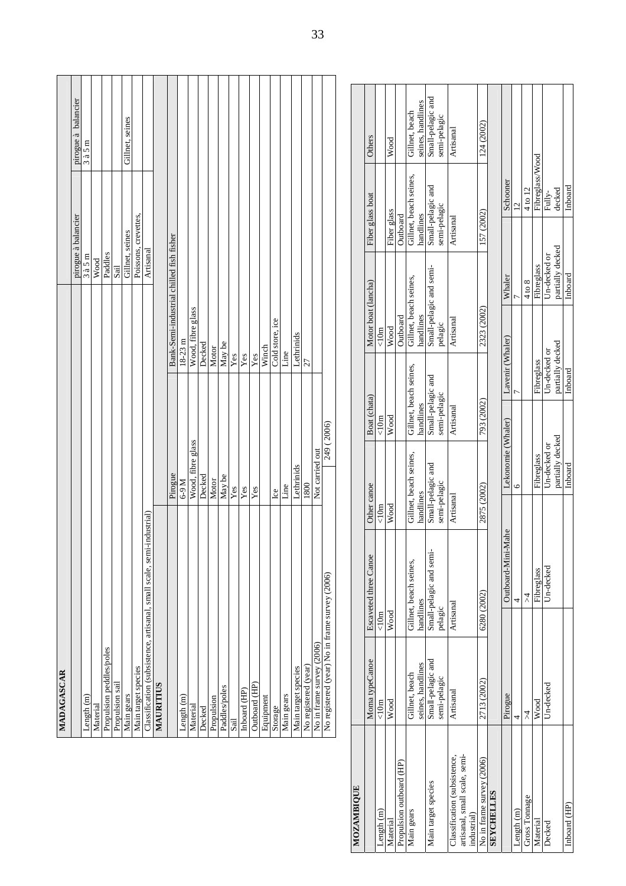| MADAGASCAR                                                              |                   |                                          |                      |                     |
|-------------------------------------------------------------------------|-------------------|------------------------------------------|----------------------|---------------------|
|                                                                         |                   |                                          | pirogue à balancier  | pirogue à balancier |
| Length $(m)$                                                            |                   |                                          | 3a5m                 | 3a5m                |
| Material                                                                |                   |                                          | Wood                 |                     |
| Propulsion peddles/poles                                                |                   |                                          | Paddles              |                     |
| Propulsion sail                                                         |                   |                                          | Sail                 |                     |
| Main gears                                                              |                   |                                          | Gillnet, seines      | Gillnet, seines     |
| Main target species                                                     |                   |                                          | Poissons, crevettes, |                     |
| industrial<br>Classification (subsistence, artisanal, small scale, semi |                   |                                          | Artisanal            |                     |
| MAURITIUS                                                               |                   |                                          |                      |                     |
|                                                                         | Pirogue           | Bank-Semi-industrial chilled fish fisher |                      |                     |
| Length $(m)$                                                            | $M$ 6-9           | $18-23$ m                                |                      |                     |
| Material                                                                | Wood, fibre glass | Wood, fibre glass                        |                      |                     |
| Decked                                                                  | Decked            | Decked                                   |                      |                     |
| Propulsion                                                              | Motor             | Motor                                    |                      |                     |
| Paddles/poles                                                           | May be            | May be                                   |                      |                     |
| Sail                                                                    | Yes               | Yes                                      |                      |                     |
| Inboard (HP)                                                            | Yes               | Yes                                      |                      |                     |
| Outboard (HP)                                                           | Yes               | Yes                                      |                      |                     |
| Equipment                                                               |                   | Winch                                    |                      |                     |
| Storage                                                                 | Ice               | Cold store, ice                          |                      |                     |
| Main gears                                                              | Line              | Line                                     |                      |                     |
| Main target species                                                     | Lethrinids        | Lethrinids                               |                      |                     |
| No registered (year)                                                    | 1800              | 27                                       |                      |                     |
| No in frame survey (2006)                                               | Not carried out   |                                          |                      |                     |
| No registered (year) No in frame survey (2006)                          | 249 (2006)        |                                          |                      |                     |
|                                                                         |                   |                                          |                      |                     |

| <b>MOZAMBIQUE</b>             |                   |                              |                        |                        |                        |                         |                        |                   |
|-------------------------------|-------------------|------------------------------|------------------------|------------------------|------------------------|-------------------------|------------------------|-------------------|
|                               | Moma typeCanoe    | <b>Escaveted three Canoe</b> | Other canoe            | Boat (chata)           | Motor boat (lancha)    |                         | Fiber glass boat       | Others            |
| Length <sub>(m)</sub>         | $\leq 10m$        | $\leq 10m$                   | $\leq 10m$             | $\leq 10m$             | $\leq 10m$             |                         |                        |                   |
| Material                      | $_{\rm Wood}$     | $_{\rm Wood}$                | Wood                   | Wood                   | Wood                   |                         | Fiber glass            | $_{\rm Wood}$     |
| Propulsion outboard (HP)      |                   |                              |                        |                        | Outboard               |                         | Outboard               |                   |
| Main gears                    | Gillnet, beach    | Gillnet, beach seines,       | Gillnet, beach seines, | Gillnet, beach seines, | Gillnet, beach seines, |                         | Gillnet, beach seines, | Gillnet, beach    |
|                               | seines, handlines | handlines                    | handlines              | handlines              | handlines              |                         | handlines              | seines, handlines |
| Main target species           | Small-pelagic and | Small-pelagic and semi       | Small-pelagic and      | Small-pelagic and      |                        | Small-pelagic and semi- | Small-pelagic and      | Small-pelagic and |
|                               | semi-pelagic      | pelagic                      | semi-pelagic           | semi-pelagic           | pelagic                |                         | semi-pelagic           | semi-pelagic      |
| Classification (subsistence,  | Artisanal         | Artisanal                    | Artisanal              | Artisanal              | Artisanal              |                         | Artisanal              | Artisanal         |
| artisanal, small scale, semi- |                   |                              |                        |                        |                        |                         |                        |                   |
| industrial)                   |                   |                              |                        |                        |                        |                         |                        |                   |
| No in frame survey (2006)     | 2713 (2002)       | 6280 (2002)                  | 2875 (2002)            | 793 (2002)             | 2323 (2002)            |                         | 157 (2002)             | 124 (2002)        |
| <b>SEYCHELLES</b>             |                   |                              |                        |                        |                        |                         |                        |                   |
|                               | Pirogue           | Outboard-Mini-Mahe           | Lekonomie (Whaler)     |                        | Lavenir (Whaler)       | Whaler                  | Schooner               |                   |
| Length $(m)$                  | 4                 | 4                            | 6                      |                        |                        |                         | $\overline{2}$         |                   |
| Gross Tomage                  | $\lambda$         | ₹                            |                        |                        |                        | 4 to 8                  | 4 to 12                |                   |
| Material                      | Wood              | Fibreglass                   | Fibreglass             |                        | Fibreglass             | Fibreglass              | Fibreglass/Wood        |                   |
| Decked                        | Un-decked         | Un-decked                    | Un-decked or           |                        | Un-decked or           | Un-decked or            | Fully-                 |                   |
|                               |                   |                              | partially decked       |                        | partially decked       | partially decked        | decked                 |                   |
| Inboard (HP)                  |                   |                              | Inboard                | Inboard                |                        | Inboard                 | Inboard                |                   |
|                               |                   |                              |                        |                        |                        |                         |                        |                   |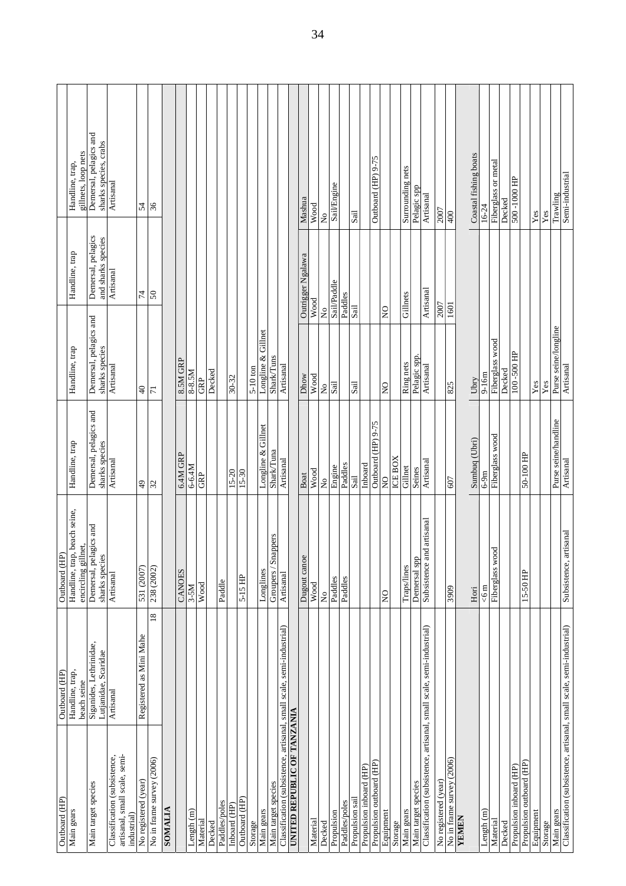| Outboard (HP)                                                                | Outboard (HP)                                   | Outboard (HP                             |                                          |                                          |                                          |                                                 |
|------------------------------------------------------------------------------|-------------------------------------------------|------------------------------------------|------------------------------------------|------------------------------------------|------------------------------------------|-------------------------------------------------|
|                                                                              | Handline, trap,                                 | Handline, trap, beach seine,             | Handline, trap                           | Handline, trap                           | Handline, trap                           | Handline, trap,                                 |
| Main gears                                                                   | beach seine                                     | net,<br>encircling gill                  |                                          |                                          |                                          | gillnets, loop nets                             |
| Main target species                                                          | Siganides, Lethrinidae,<br>Lutjanidae, Scaridae | Demersal, pelagics and<br>sharks species | Demersal, pelagics and<br>sharks species | Demersal, pelagics and<br>sharks species | Demersal, pelagics<br>and sharks species | Demersal, pelagics and<br>sharks species, crabs |
|                                                                              |                                                 |                                          |                                          |                                          |                                          |                                                 |
| artisanal, small scale, semi-<br>Classification (subsistence,<br>industrial) | Artisanal                                       | Artisanal                                | Artisanal                                | Artisanal                                | Artisanal                                | Artisanal                                       |
| No registered (year)                                                         | Registered as Mini Mahe                         | 531 (2007)                               | $\overline{6}$                           | $\overline{4}$                           | $\overline{7}$                           | 54                                              |
| No in frame survey (2006)                                                    | $\overline{18}$                                 | 238 (2002)                               | $\mathfrak{L}$                           | $\overline{7}$                           | $50\,$                                   | 36                                              |
| <b>SOMALIA</b>                                                               |                                                 |                                          |                                          |                                          |                                          |                                                 |
|                                                                              |                                                 | <b>CANOES</b>                            | 6.4M GRP                                 | 8.5M GRP                                 |                                          |                                                 |
| Length(m)                                                                    |                                                 | $3-5M$                                   | 6-6.4M                                   | 8-8.5M                                   |                                          |                                                 |
| Material                                                                     |                                                 | Wood                                     | GRP                                      | GRP                                      |                                          |                                                 |
| Decked                                                                       |                                                 |                                          |                                          | Decked                                   |                                          |                                                 |
| Paddles/poles                                                                |                                                 | Paddle                                   |                                          |                                          |                                          |                                                 |
| Inboard (HP)                                                                 |                                                 |                                          | $15 - 20$                                | 30-32                                    |                                          |                                                 |
| Outboard (HP)                                                                |                                                 | 5-15 HP                                  | 15-30                                    |                                          |                                          |                                                 |
| Storage                                                                      |                                                 |                                          |                                          | 5-10 ton                                 |                                          |                                                 |
| Main gears                                                                   |                                                 | Longlines                                | Longline & Gillnet                       | Longline & Gillnet                       |                                          |                                                 |
| Main target species                                                          |                                                 | Groupers / Snappers                      | Shark/Tuna                               | <b>Shark/Tuns</b>                        |                                          |                                                 |
| Classification (subsistence, artisanal, small scale, semi-industrial)        |                                                 | Artisanal                                | Artisanal                                | Artisanal                                |                                          |                                                 |
| <b>UNITARY TO OF TANZANIA</b>                                                |                                                 |                                          |                                          |                                          |                                          |                                                 |
|                                                                              |                                                 | Dugout cance                             | Boat                                     | Dhow                                     | Outrigger Ngalawa                        | Mashua                                          |
| Material                                                                     |                                                 | Wood                                     | Wood                                     | Wood                                     | Wood                                     | Wood                                            |
| Decked                                                                       |                                                 | ż                                        | $\tilde{z}$                              | $\tilde{z}$<br>$\tilde{z}$               |                                          | $\mathsf{S}^{\mathsf{o}}$                       |
| Propulsion                                                                   |                                                 | Paddles                                  | Engine                                   | $\overline{\text{Sail}}$                 | Sail/Paddle                              | Sail/Engine                                     |
| Paddles/poles                                                                |                                                 | Paddles                                  | Paddles                                  |                                          | Paddles                                  |                                                 |
| Propulsion sail                                                              |                                                 |                                          | $S\ddot{\rm a}\ddot{\rm l}$              | Sail<br>Sail                             |                                          | Sail                                            |
| Propulsion inboard (HP)                                                      |                                                 |                                          | Inboard                                  |                                          |                                          |                                                 |
| Propulsion outboard (HP)                                                     |                                                 |                                          | Outboard (HP) 9-75                       |                                          |                                          | Outboard (HP) 9-75                              |
| Equipment                                                                    |                                                 | $\overline{Q}$                           | $\mathsf{S}^{\mathsf{O}}$                | $\overline{a}$<br>$\mathsf{S}$           |                                          |                                                 |
| Storage                                                                      |                                                 |                                          | <b>ICE BOX</b>                           |                                          |                                          |                                                 |
| Main gears                                                                   |                                                 | Traps/lines                              | Gillnet                                  | Ring nets                                | Gillnets                                 | Surrounding nets                                |
| Main target species                                                          |                                                 | Demersal spp                             | Seines                                   | Pelagic spp.                             |                                          | Pelagic spp                                     |
| Classification (subsistence, artisanal, small scale, semi-industrial)        |                                                 | Subsistence and artisanal                | Artisanal                                | Artisanal                                | Artisanal                                | Artisanal                                       |
| No registered (year)                                                         |                                                 |                                          |                                          |                                          | $\overline{2007}$                        | 7007                                            |
| No in frame survey (2006)                                                    |                                                 | 3909                                     | 607                                      | 825                                      | 1601                                     | 400                                             |
| <b>NHNHX</b>                                                                 |                                                 |                                          |                                          |                                          |                                          |                                                 |
|                                                                              |                                                 | Hori                                     | Sumbuq (Ubri)                            | Ubry                                     |                                          | Coastal fishing boats                           |
| Length(m)                                                                    |                                                 | 56 <sub>m</sub>                          | $6-9m$                                   | $9-16m$                                  |                                          | 16-24                                           |
| Material                                                                     |                                                 | ह<br>Fiberglass wo                       | Fiberglass wood                          | Fiberglass wood                          |                                          | Fiberglass or metal                             |
| Decked                                                                       |                                                 |                                          |                                          | Decked                                   |                                          | Decked                                          |
| Propulsion inboard (HP)                                                      |                                                 |                                          |                                          | 100-500 HP                               |                                          | 500 - 1000 HP                                   |
| Propulsion outboard (HP)                                                     |                                                 | 15-50 HP                                 | 50-100 HP                                |                                          |                                          |                                                 |
| Equipment                                                                    |                                                 |                                          |                                          | $\mathbf{Yes}$                           |                                          | $\mathbf{Yes}$                                  |
| Storage                                                                      |                                                 |                                          |                                          | $\mathbf{Yes}$                           |                                          | $\mathbf{Yes}$                                  |
| Main gears                                                                   |                                                 |                                          | Purse seine/handline                     | Purse seine/longline                     |                                          | Trawling                                        |
| Classification (subsistence, artisanal, small scale, semi-industrial)        |                                                 | Subsistence, artisanal                   | Artisanal                                | Artisanal                                |                                          | Semi-industrial                                 |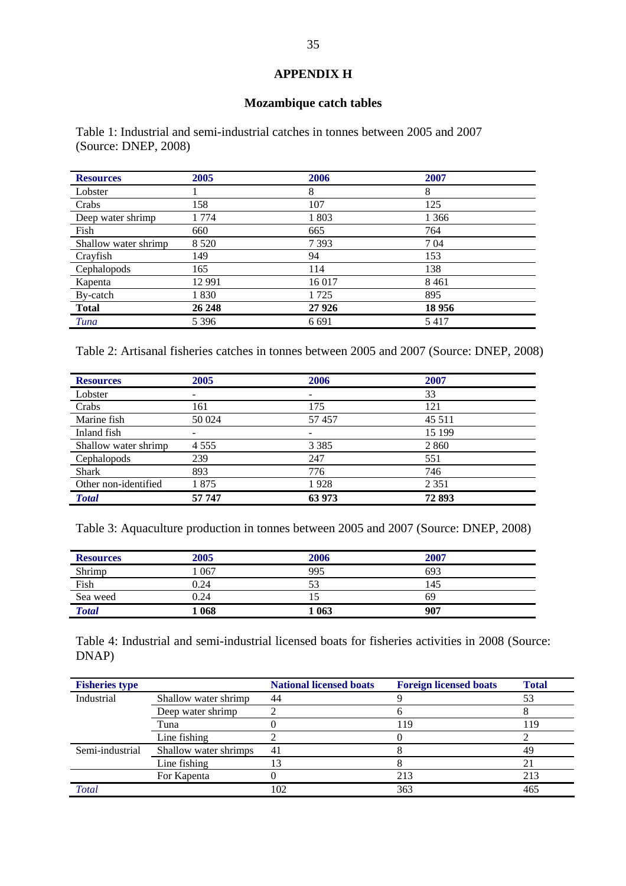### **APPENDIX H**

### **Mozambique catch tables**

Table 1: Industrial and semi-industrial catches in tonnes between 2005 and 2007 (Source: DNEP, 2008)

| <b>Resources</b>     | 2005     | 2006    | 2007    |
|----------------------|----------|---------|---------|
| Lobster              |          | 8       | 8       |
| Crabs                | 158      | 107     | 125     |
| Deep water shrimp    | 1 7 7 4  | 1803    | 1 3 6 6 |
| Fish                 | 660      | 665     | 764     |
| Shallow water shrimp | 8 5 2 0  | 7 3 9 3 | 704     |
| Crayfish             | 149      | 94      | 153     |
| Cephalopods          | 165      | 114     | 138     |
| Kapenta              | 12 9 9 1 | 16 017  | 8461    |
| By-catch             | 1830     | 1 7 2 5 | 895     |
| <b>Total</b>         | 26 248   | 27 9 26 | 18 9 56 |
| Tuna                 | 5 3 9 6  | 6 6 9 1 | 5417    |

Table 2: Artisanal fisheries catches in tonnes between 2005 and 2007 (Source: DNEP, 2008)

| <b>Resources</b>     | 2005    | 2006    | 2007    |
|----------------------|---------|---------|---------|
| Lobster              |         | -       | 33      |
| Crabs                | 161     | 175     | 121     |
| Marine fish          | 50 024  | 57 457  | 45 5 11 |
| Inland fish          |         | -       | 15 199  |
| Shallow water shrimp | 4 5 5 5 | 3 3 8 5 | 2860    |
| Cephalopods          | 239     | 247     | 551     |
| <b>Shark</b>         | 893     | 776     | 746     |
| Other non-identified | 1875    | 1928    | 2 3 5 1 |
| <b>Total</b>         | 57 747  | 63 973  | 72893   |

Table 3: Aquaculture production in tonnes between 2005 and 2007 (Source: DNEP, 2008)

| <b>Resources</b> | 2005  | 2006  | 2007 |  |
|------------------|-------|-------|------|--|
| Shrimp           | .067  | 995   | 693  |  |
| Fish             | 0.24  | ◡     | 145  |  |
| Sea weed         | 0.24  |       | 69   |  |
| <b>Total</b>     | l 068 | l 063 | 907  |  |

Table 4: Industrial and semi-industrial licensed boats for fisheries activities in 2008 (Source: DNAP)

| <b>Fisheries type</b> |                       | <b>National licensed boats</b> | <b>Foreign licensed boats</b> | <b>Total</b> |
|-----------------------|-----------------------|--------------------------------|-------------------------------|--------------|
| Industrial            | Shallow water shrimp  | 44                             |                               | 53           |
|                       | Deep water shrimp     |                                |                               |              |
|                       | Tuna                  |                                | 119                           | 119          |
|                       | Line fishing          |                                |                               |              |
| Semi-industrial       | Shallow water shrimps | 41                             |                               | 49           |
|                       | Line fishing          |                                |                               | 21           |
|                       | For Kapenta           |                                | 213                           | 213          |
| <b>Total</b>          |                       |                                | 363                           | 465          |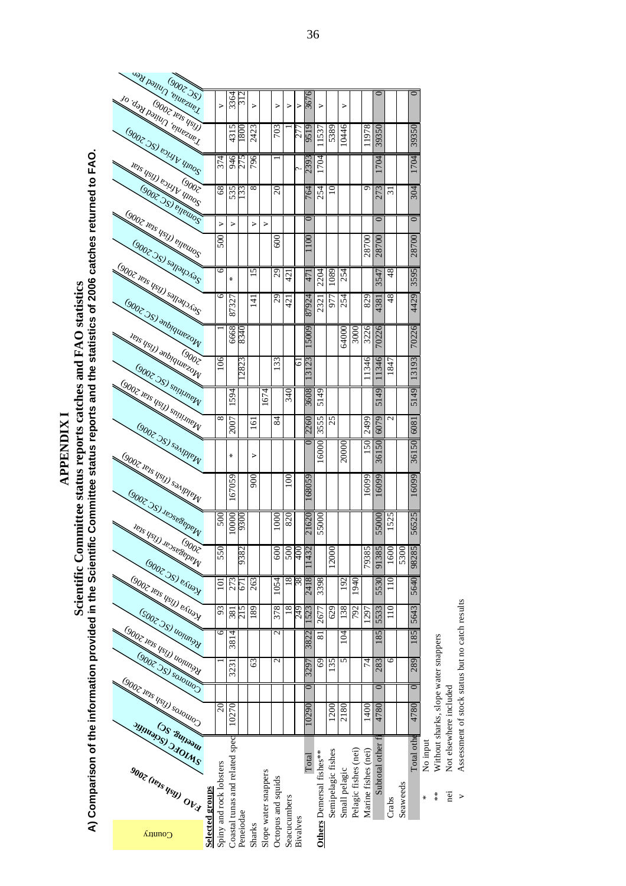**APPENDIX I APPENDIX I** 

A) Comparison of the information provided in the Scientific Committee status reports catches and FAO statistics<br>A) Comparison of the information provided in the Scientific Committee status reports and the statistics of 200 **A) Comparison of the information provided in the Scientific Committee status reports and the statistics of 2006 catches returned to FAO. Scientific Committee status reports catches and FAO statistics** 

|                                                        |                 |                         |                                |                 |                  |                      |                    |               |                 | $\circ$       |                          |                    |               |                      |                         | 0                |                |          |                 |
|--------------------------------------------------------|-----------------|-------------------------|--------------------------------|-----------------|------------------|----------------------|--------------------|---------------|-----------------|---------------|--------------------------|--------------------|---------------|----------------------|-------------------------|------------------|----------------|----------|-----------------|
| <b>Tanzania, United Ren</b><br>10. day payman temporal |                 | $\geq$                  | 3364                           | $\sim$          | $\geq$           |                      | $\geq$             | $\geq$        | $\geq$          | 367           | $\geq$                   |                    | $\geq$        |                      |                         |                  |                |          |                 |
|                                                        |                 |                         | 5                              |                 |                  |                      | 703                |               |                 |               |                          |                    |               |                      |                         |                  |                |          |                 |
| GOODE 781 BYLIND WINOS                                 |                 |                         | 431                            | $\overline{08}$ | 2423             |                      |                    |               | 27              | 951           | .1537                    | 5389               | 10446         |                      | 1978                    | 39350            |                |          | 39350           |
|                                                        |                 | 374                     | 946                            | 275             | 796              |                      |                    |               |                 |               | 704                      |                    |               |                      |                         | <b>DOL</b>       |                |          | 704             |
| Tens Usty equipment                                    |                 |                         |                                |                 |                  |                      |                    |               | ç.              | 2393          |                          |                    |               |                      |                         |                  |                |          |                 |
|                                                        |                 | 68                      | 535                            | 33              | $\infty$         |                      | $20 \,$            |               |                 | $\mathcal{A}$ | 254                      | $\supseteq$        |               |                      | $\sigma$                | 273              | ಸ              |          | 304             |
| GODZ JSJ BIBLIOS                                       |                 |                         |                                |                 |                  |                      |                    |               |                 | っ             |                          |                    |               |                      |                         | $\circ$          |                |          | $\circ$         |
|                                                        |                 | $\triangleright$        | $\geq$                         |                 | $\triangleright$ | ⋗                    |                    |               |                 |               |                          |                    |               |                      |                         |                  |                |          |                 |
| GOOT TRIS USLY BITEWOOS<br>GOOZ JSJ sallala (RC        |                 | 500                     |                                |                 |                  |                      | 600                |               |                 | $\infty$      |                          |                    |               |                      | 28700                   | 28700            |                |          | 28700           |
|                                                        |                 | 6                       | ⋇                              |                 | 5                |                      | 29                 | 42            |                 | 47            | 2204                     | 089                | 254           |                      |                         | 3547             | 48             |          | 3595            |
|                                                        |                 | 6                       |                                |                 |                  |                      |                    |               |                 |               |                          |                    |               |                      |                         |                  |                |          |                 |
| GOOT TONS USIN SOLOOM<br>GOOT 7S) anbiquarzow          |                 |                         | t<br>8732                      |                 | 4                |                      | $\overline{c}$     | $\frac{1}{4}$ |                 | 87924         | 232                      | r<br>577           | 254           |                      | 829                     | 4381             | 48             |          | 4429            |
|                                                        |                 |                         |                                |                 |                  |                      |                    |               |                 |               |                          |                    |               |                      |                         |                  |                |          |                 |
| Tens usty anbiquezow                                   |                 |                         | 6668                           | 834             |                  |                      |                    |               |                 | 5009          |                          |                    | 64000         | 3000                 | 3226                    | 7022             |                |          | 70226           |
|                                                        |                 | 106                     |                                | 2823            |                  |                      | <b>33</b>          |               | 5               | 23            |                          |                    |               |                      | 346                     | 11346            | 847            |          | 3193            |
| (9002 JS) smnmerv                                      |                 |                         |                                |                 |                  |                      |                    |               |                 | $\sim$        |                          |                    |               |                      |                         |                  |                |          |                 |
|                                                        |                 |                         | 594                            |                 |                  | 674                  |                    | 340           |                 | 3608          | 5149                     |                    |               |                      |                         | 49               |                |          | 5149            |
| <b>GODZ Tens USID SOUTHINDER</b>                       |                 | $\infty$                |                                |                 |                  |                      |                    |               |                 |               |                          | 25                 |               |                      |                         | 51               | $\mathcal{L}$  |          |                 |
| GOOT JSJ SPANDING                                      |                 |                         | 2007                           |                 | 5                |                      | 84                 |               |                 | 2260          | 3555                     |                    |               |                      | 2499                    | 6079             |                |          | 6081            |
|                                                        |                 |                         | ⋇                              |                 |                  |                      |                    |               |                 | ⊂             | 6000                     |                    | 20000         |                      | $\mathcal{S}^{\bullet}$ | $\mathcal{S}$    |                |          | $\overline{50}$ |
| GOOZ 121S USID SOLUMBIN                                |                 |                         |                                |                 | ⋗                |                      |                    |               |                 |               |                          |                    |               |                      |                         | 361              |                |          | 361             |
|                                                        |                 |                         | 67059                          |                 | 900              |                      |                    | 100           |                 | [68059]       |                          |                    |               |                      | 16099                   | 6099             |                |          | 6099            |
| <b>GOOT JSJ JPJSPBPPPPI</b>                            |                 |                         |                                |                 |                  |                      |                    |               |                 |               |                          |                    |               |                      |                         |                  |                |          |                 |
|                                                        |                 | 500                     | 0000                           | 930             |                  |                      | $\frac{8}{2}$      | 820           |                 |               |                          |                    |               |                      |                         |                  | 525            |          |                 |
| <b>IBIS USID JDSSBSDDDIV</b>                           |                 |                         |                                |                 |                  |                      |                    |               |                 | 21620         | 55000                    |                    |               |                      |                         | 55000            |                |          | 56525           |
|                                                        |                 | 550                     |                                | 9382            |                  |                      | 600                | 500           | $\frac{400}{2}$ | 1432          |                          | 2000               |               |                      |                         |                  | 1600           | 5300     |                 |
|                                                        |                 |                         |                                |                 |                  |                      |                    |               |                 |               |                          |                    |               |                      | 79385                   | 91385            |                |          | 98285           |
| GOOZ 251 P. Kingl<br>GOOZ JPJS (1991) PAUDY            |                 | $\overline{10}$         | 273                            | 67              | 263              |                      | 1054               | $^{\infty}$   | 38              | 2418          | 3398                     |                    | 192           | 040                  |                         | 5530             | $\frac{1}{10}$ |          | 5640            |
|                                                        |                 | 93                      | 381                            | 215             | 189              |                      | 378                | 18            | 249             | 1523          | 2677                     | 629                | 138           | 792                  | 1297                    | 5533             | 110            |          | 5643            |
| (SOOT ) SI VOIVING<br>GODZ 181s USIJ) UOJUNSK          |                 | 6                       | 3814                           |                 |                  |                      | 2                  |               |                 |               | ವ                        |                    | 104           |                      |                         | 185              |                |          | 185             |
|                                                        |                 |                         |                                |                 |                  |                      |                    |               |                 | 3822          |                          |                    |               |                      |                         |                  |                |          |                 |
| GOUT 35) sounds                                        |                 |                         | 3231                           |                 | 63               |                      | $\mathbf{c}$       |               |                 | 3297          | $\overline{69}$          | 135                | 5             |                      | 74                      | 283              | 6              |          | 289             |
|                                                        |                 |                         |                                |                 |                  |                      |                    |               |                 |               |                          |                    |               |                      |                         | $\circ$          |                |          | $\circ$         |
| GODZ 121S USID SOLOWOOD                                |                 | $20 \,$                 |                                |                 |                  |                      |                    |               |                 |               |                          | 1200               |               |                      |                         |                  |                |          |                 |
| <b>SWIDES SHOWIES</b>                                  |                 |                         | 10270                          |                 |                  |                      |                    |               |                 | 10290         |                          |                    | 2180          |                      | 1400                    | 4780             |                |          | 4780            |
|                                                        |                 |                         |                                |                 |                  |                      |                    |               |                 |               |                          |                    |               |                      |                         |                  |                |          |                 |
|                                                        |                 |                         |                                |                 |                  |                      |                    |               |                 |               |                          |                    |               |                      |                         | Subtotal other f |                |          | Total othe      |
|                                                        |                 |                         |                                |                 |                  |                      |                    |               |                 | Total         |                          |                    |               |                      |                         |                  |                |          |                 |
|                                                        |                 |                         |                                |                 |                  |                      |                    |               |                 |               |                          |                    |               |                      |                         |                  |                |          |                 |
|                                                        |                 |                         |                                |                 |                  |                      |                    |               |                 |               |                          |                    |               |                      |                         |                  |                |          |                 |
| 9002 (Ray Reg) OVA                                     |                 |                         |                                |                 |                  |                      |                    |               |                 |               |                          | Semipelagic fishes | Small pelagic | Pelagic fishes (nei) | Marine fishes (nei)     |                  | Crabs          | Seaweeds |                 |
|                                                        |                 |                         |                                |                 |                  |                      |                    |               |                 |               |                          |                    |               |                      |                         |                  |                |          |                 |
| Country                                                | Selected groups | Spiny and rock lobsters | Coastal tunas and related spec | Peneiodae       | Sharks           | Slope water snappers | Octopus and squids | Seacucumbers  | Bivalves        |               | Others Demersal fishes** |                    |               |                      |                         |                  |                |          |                 |

\* No input

No input<br>Without sharks, slope water snappers \*\* Without sharks, slope water snappers  $*$   $*$   $\frac{1}{2}$  >

Not elsewhere included nei Not elsewhere included

Assessment of stock status but no catch results v Assessment of stock status but no catch results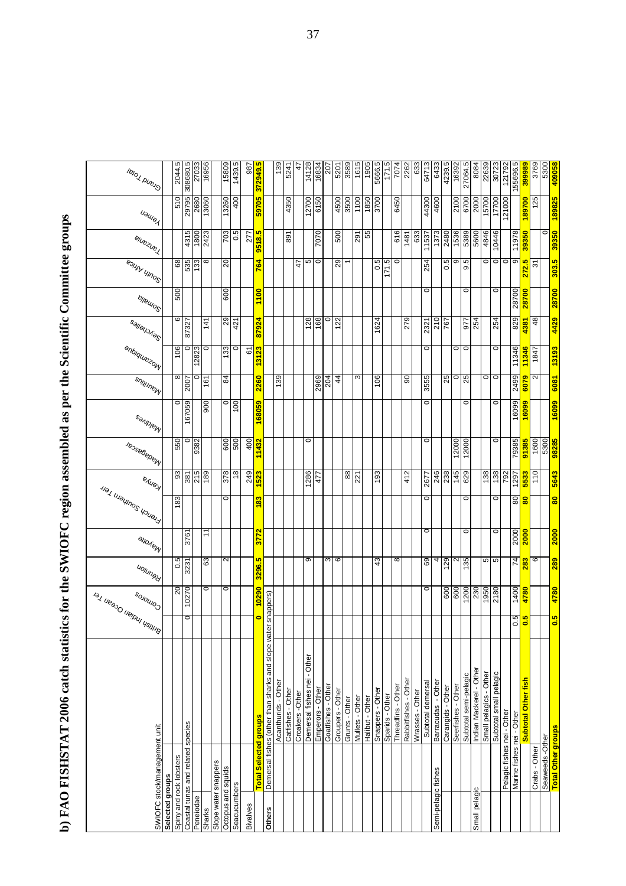b) FAO FISHSTAT 2006 catch statistics for the SWIOFC region assembled as per the Scientific Committee groups **b) FAO FISHSTAT 2006 catch statistics for the SWIOFC region assembled as per the Scientific Committee groups**

| lelo Volelo                  | 2044.5                  | 308680.5                          | 27033     | 16956       | 15809                                      | 1439.5        | 987      | 372949.5                     |                                                    | 139                 | 5241              | 4               | 14128                       | 16834            | 207                | 5201             | 3589           | 1615            | 1905            | 5666.5           | 171.5           | 7074               | 2262<br>633                             | 64713             | 6433                | 4239.5            | 16392              | 27064.5               | 8084                    | 22639                  | 30723                  | 121792                     | 155696.5                  | 399989                           | 3769          | 5300<br>409058                                    |
|------------------------------|-------------------------|-----------------------------------|-----------|-------------|--------------------------------------------|---------------|----------|------------------------------|----------------------------------------------------|---------------------|-------------------|-----------------|-----------------------------|------------------|--------------------|------------------|----------------|-----------------|-----------------|------------------|-----------------|--------------------|-----------------------------------------|-------------------|---------------------|-------------------|--------------------|-----------------------|-------------------------|------------------------|------------------------|----------------------------|---------------------------|----------------------------------|---------------|---------------------------------------------------|
| Uaulay                       | 510                     | 29795                             | 2680      | 13060       | 13260                                      | 400           |          | 59705                        |                                                    |                     | 4350              |                 | 12700                       | 6150             |                    | 4500             | 3500           | 1100            | 1850            | 3700             |                 | 6450               |                                         | 44300             | 4600                |                   | 2100               | 6700                  | 2000                    | 15700                  | 17700                  | 121000                     |                           | 89700                            | 125           | 189825                                            |
| ejuezuez                     |                         | 4315                              | 1800      | 2423        | 703                                        | 0.5           | 277      | 9518.5                       |                                                    |                     | 58                |                 |                             | 7070             |                    | 500              |                | 291             | 55              |                  |                 | 616                | 633<br>1481                             | 11537             | 1373                | 2480              | 1536               | 5389                  | 5600                    | 4846                   | 10446                  |                            | 11978                     | 39350                            |               | 0<br>39350                                        |
| <b>EDIVIN UNITED</b>         | $\overline{8}$          | 535                               | 133       | 8           | $\overline{c}$                             |               |          | 764                          |                                                    |                     |                   | 47              | Ю                           | $\circ$          |                    | $\overline{29}$  |                |                 |                 | rö.<br>ö         | 171.5           | $\circ$            |                                         | 254               |                     | 0.5               | σ                  | 9.5                   |                         | $\circ$                | $\circ$                | $\circ$                    | ၜ                         | 272.5                            | 9             | 303.5                                             |
| ellemo <sup>o</sup>          | 500                     |                                   |           |             | 600                                        |               |          | 1100                         |                                                    |                     |                   |                 |                             |                  |                    |                  |                |                 |                 |                  |                 |                    |                                         | $\circ$           |                     |                   |                    | $\circ$               |                         |                        | $\circ$                |                            | 28700                     | 28700                            |               | 28700                                             |
| Sallayones                   | 6                       | 87327                             |           | 141         | 29                                         | 421           |          | 87924                        |                                                    |                     |                   |                 | 128                         | 168              | $\circ$            | 122              |                |                 |                 | 1624             |                 |                    | 279                                     | 2321              | 210                 | 767               |                    | 977                   | 254                     |                        | 254                    |                            | 829                       | 4381                             | 48            | 4429                                              |
| anbiquezow                   | 106                     | $\circ$                           | 12823     | 0           | 133                                        | $\circ$       | 67       | 13123                        |                                                    |                     |                   |                 |                             |                  |                    |                  |                |                 |                 |                  |                 |                    |                                         | $\circ$           |                     |                   | $\circ$            | $\circ$               |                         |                        | $\circ$                |                            | 11346                     | 11346                            | 1847          | 13193                                             |
| s <sub>ultituus</sub>        | ∞                       | 2007                              | 0         | 161         | $\overline{8}$                             |               |          | 2260                         |                                                    | 139                 |                   |                 |                             | 2969             | 204                | $\overline{4}$   |                | S               |                 | 106              |                 |                    | 90                                      | 3555              |                     | 25                | $\circ$            | 25                    |                         | $\circ$                | $\circ$                |                            | 2499                      | 6079                             | 2             | 6081                                              |
| <b>Sandolar</b>              | 0                       | 167059                            |           | 900         | $\circ$                                    | $\frac{8}{1}$ |          | 168059                       |                                                    |                     |                   |                 |                             |                  |                    |                  |                |                 |                 |                  |                 |                    |                                         | $\circ$           |                     |                   |                    | $\circ$               |                         |                        | $\circ$                |                            | 16099                     | 16099                            |               | 16099                                             |
| Je <sub>osefepenew</sub>     | 550                     | $\circ$                           | 9382      |             | 600                                        | 500           | 400      | 11432                        |                                                    |                     |                   |                 | $\circ$                     |                  |                    |                  |                |                 |                 |                  |                 |                    |                                         | $\circ$           |                     |                   | 12000              | 12000                 |                         |                        | $\circ$                |                            | 79385                     | 91385                            | 1600          | 5300<br><b>38285</b>                              |
| <b>EAUSH</b>                 | $\overline{3}$          | 381                               | 215       | 189         | 378                                        | $\frac{8}{2}$ | 249      | 523                          |                                                    |                     |                   |                 | 1286                        | 477              |                    |                  | 88             | 221             |                 | 193              |                 |                    | 412                                     | 2677              | 246                 | 238               | 145                | 629                   |                         | 138                    | 138                    | 792                        | 1297                      | 5533                             | 110           | 5643                                              |
| Jerench Southern Terr        | 183                     |                                   |           |             | 0                                          |               |          | 183                          |                                                    |                     |                   |                 |                             |                  |                    |                  |                |                 |                 |                  |                 |                    |                                         | $\circ$           |                     |                   |                    | $\circ$               |                         |                        | $\circ$                |                            | 80                        | 8                                |               | 80                                                |
| anoten                       |                         | 3761                              |           | $\tilde{t}$ |                                            |               |          | 3772                         |                                                    |                     |                   |                 |                             |                  |                    |                  |                |                 |                 |                  |                 |                    |                                         | $\circ$           |                     |                   |                    | $\circ$               |                         |                        | $\circ$                |                            | 2000                      | <b>2000</b>                      |               | <b>2000</b>                                       |
| u <sub>ojungy</sub>          | $0.5^{\text{I}}$        | 3231                              |           | 63          | $\mathbf{\Omega}$                          |               |          | 3296.5                       |                                                    |                     |                   |                 | Θ                           |                  | ω                  | $\circ$          |                |                 |                 | 43               |                 | 8                  |                                         | 69                | 4                   | 129               | $\mathbf{\Omega}$  | 135                   |                         | 5                      | 5                      |                            | 74                        | 283                              | ဖ             | 289                                               |
|                              | $\overline{c}$          | 10270                             |           | 0           | $\circ$                                    |               |          | 10290                        | snappers)                                          |                     |                   |                 |                             |                  |                    |                  |                |                 |                 |                  |                 |                    |                                         | $\circ$           |                     | 600               | 600                | 1200                  | 230                     | 1950                   | 2180                   |                            | 1400                      | 4780                             |               | 4780                                              |
| Agy Veepo Verpul Ocean Yer   |                         | $\circ$                           |           |             |                                            |               |          | o                            |                                                    |                     |                   |                 |                             |                  |                    |                  |                |                 |                 |                  |                 |                    |                                         |                   |                     |                   |                    |                       |                         |                        |                        |                            | 0.5                       | $\overline{0.5}$                 |               | $\overline{0.5}$                                  |
|                              |                         |                                   |           |             |                                            |               |          |                              | Demersal fishes (other than sharks and slope water |                     |                   |                 |                             |                  |                    |                  |                |                 |                 |                  |                 |                    |                                         |                   |                     |                   |                    |                       |                         |                        |                        |                            |                           |                                  |               |                                                   |
|                              |                         |                                   |           |             |                                            |               |          |                              |                                                    |                     |                   |                 |                             |                  |                    |                  |                |                 |                 |                  |                 |                    |                                         |                   |                     |                   |                    |                       |                         |                        |                        |                            |                           |                                  |               |                                                   |
|                              |                         |                                   |           |             |                                            |               |          |                              |                                                    | Acanthurids - Other | Catfishes - Other | Croakers -Other | Demersal fishes nei - Other | Emperors - Other | Goatfishes - Other | Groupers - Other | Grunts - Other | Mullets - Other | Halibut - Other | Snappers - Other | Sparids - Other | Threadfins - Other | Rabbitfishes - Other<br>Wrasses - Other | Subtotal demersal | Barracudas - Other  | Carangids - Other | Seerfishes - Other | Subtotal semi-pelagic | Indian Mackerel - Other | Small pelagics - Other | Subtotal small pelagic |                            |                           | <mark>Subtotal Other fish</mark> |               |                                                   |
| SWIOFC stock/management unit |                         |                                   |           |             |                                            |               |          | <b>Total Selected groups</b> |                                                    |                     |                   |                 |                             |                  |                    |                  |                |                 |                 |                  |                 |                    |                                         |                   |                     |                   |                    |                       |                         |                        |                        | Pelagic fishes nei - Other | Marine fishes nei - Other |                                  |               | <mark>Total Other groups</mark><br>Seaweeds-Other |
|                              |                         |                                   |           |             |                                            |               |          |                              |                                                    |                     |                   |                 |                             |                  |                    |                  |                |                 |                 |                  |                 |                    |                                         |                   |                     |                   |                    |                       |                         |                        |                        |                            |                           |                                  | Crabs - Other |                                                   |
| Selected groups              | Spiny and rock lobsters | Coastal tunas and related species | Peneiodae | Sharks      | Slope water snappers<br>Octopus and squids | Seacucumbers  | Bivalves |                              | Others                                             |                     |                   |                 |                             |                  |                    |                  |                |                 |                 |                  |                 |                    |                                         |                   | Semi-pelagic fishes |                   |                    |                       | Small pelagic           |                        |                        |                            |                           |                                  |               |                                                   |